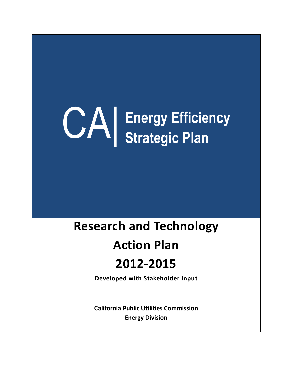# CA| **Energy Efficiency Strategic Plan**

# **Research and Technology**

# **Action Plan**

# **2012-2015**

**Developed with Stakeholder Input**

**California Public Utilities Commission Energy Division**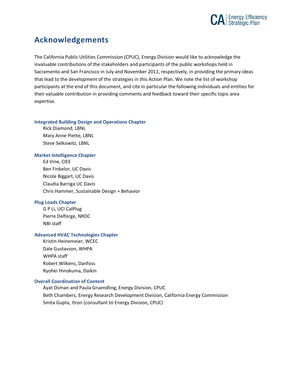

## **Acknowledgements**

The California Public Utilities Commission (CPUC), Energy Division would like to acknowledge the invaluable contributions of the stakeholders and participants of the public workshops held in Sacramento and San Francisco in July and November 2011, respectively, in providing the primary ideas that lead to the development of the strategies in this Action Plan. We note the list of workshop participants at the end of this document, and cite in particular the following individuals and entities for their valuable contribution in providing comments and feedback toward their specific topic area expertise.

#### **Integrated Building Design and Operations Chapter**

Rick Diamond, LBNL Mary Anne Piette, LBNL Steve Selkowitz, LBNL

#### **Market Intelligence Chapter**

Ed Vine, CIEE Ben Finkelor, UC Davis Nicole Biggart, UC Davis Claudia Barriga UC Davis Chris Hammer, Sustainable Design + Behavior

#### **Plug Loads Chapter**

G P Li, UCI CalPlug Pierre Delforge, NRDC NBI staff

#### **Advanced HVAC Technologies Chapter**

Kristin Heinemeier, WCEC Dale Gustavson, WHPA WHPA staff Robert Wilkens, Danfoss Ryohei Hinokuma, Daikin

#### **Overall Coordination of Content**

Ayat Osman and Paula Gruendling, Energy Division, CPUC Beth Chambers, Energy Research Development Division, California Energy Commission Smita Gupta, Itron (consultant to Energy Division, CPUC)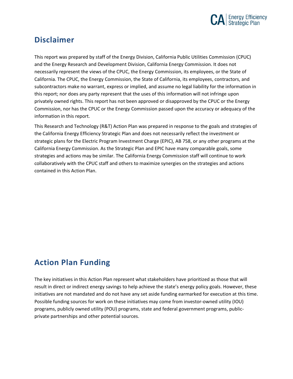

## **Disclaimer**

This report was prepared by staff of the Energy Division, California Public Utilities Commission (CPUC) and the Energy Research and Development Division, California Energy Commission. It does not necessarily represent the views of the CPUC, the Energy Commission, its employees, or the State of California. The CPUC, the Energy Commission, the State of California, its employees, contractors, and subcontractors make no warrant, express or implied, and assume no legal liability for the information in this report; nor does any party represent that the uses of this information will not infringe upon privately owned rights. This report has not been approved or disapproved by the CPUC or the Energy Commission, nor has the CPUC or the Energy Commission passed upon the accuracy or adequacy of the information in this report.

This Research and Technology (R&T) Action Plan was prepared in response to the goals and strategies of the California Energy Efficiency Strategic Plan and does not necessarily reflect the investment or strategic plans for the Electric Program Investment Charge (EPIC), AB 758, or any other programs at the California Energy Commission. As the Strategic Plan and EPIC have many comparable goals, some strategies and actions may be similar. The California Energy Commission staff will continue to work collaboratively with the CPUC staff and others to maximize synergies on the strategies and actions contained in this Action Plan.

# **Action Plan Funding**

The key initiatives in this Action Plan represent what stakeholders have prioritized as those that will result in direct or indirect energy savings to help achieve the state's energy policy goals. However, these initiatives are not mandated and do not have any set aside funding earmarked for execution at this time. Possible funding sources for work on these initiatives may come from investor-owned utility (IOU) programs, publicly owned utility (POU) programs, state and federal government programs, publicprivate partnerships and other potential sources.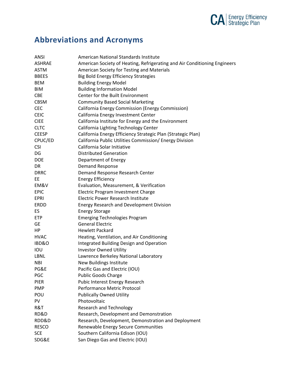

# **Abbreviations and Acronyms**

| <b>ANSI</b>  | American National Standards Institute                                     |
|--------------|---------------------------------------------------------------------------|
| ASHRAE       | American Society of Heating, Refrigerating and Air Conditioning Engineers |
| <b>ASTM</b>  | American Society for Testing and Materials                                |
| <b>BBEES</b> | <b>Big Bold Energy Efficiency Strategies</b>                              |
| <b>BEM</b>   | <b>Building Energy Model</b>                                              |
| BIM          | <b>Building Information Model</b>                                         |
| <b>CBE</b>   | Center for the Built Environment                                          |
| <b>CBSM</b>  | <b>Community Based Social Marketing</b>                                   |
| <b>CEC</b>   | California Energy Commission (Energy Commission)                          |
| <b>CEIC</b>  | California Energy Investment Center                                       |
| <b>CIEE</b>  | California Institute for Energy and the Environment                       |
| <b>CLTC</b>  | California Lighting Technology Center                                     |
| <b>CEESP</b> | California Energy Efficiency Strategic Plan (Strategic Plan)              |
| CPUC/ED      | California Public Utilities Commission/ Energy Division                   |
| <b>CSI</b>   | California Solar Initiative                                               |
| DG           | <b>Distributed Generation</b>                                             |
| <b>DOE</b>   | Department of Energy                                                      |
| <b>DR</b>    | Demand Response                                                           |
| <b>DRRC</b>  | Demand Response Research Center                                           |
| EE           | <b>Energy Efficiency</b>                                                  |
| EM&V         | Evaluation, Measurement, & Verification                                   |
| <b>EPIC</b>  | Electric Program Investment Charge                                        |
| <b>EPRI</b>  | <b>Electric Power Research Institute</b>                                  |
| ERDD         | <b>Energy Research and Development Division</b>                           |
| ES           | <b>Energy Storage</b>                                                     |
| <b>ETP</b>   | <b>Emerging Technologies Program</b>                                      |
| <b>GE</b>    | <b>General Electric</b>                                                   |
| <b>HP</b>    | <b>Hewlett Packard</b>                                                    |
| <b>HVAC</b>  | Heating, Ventilation, and Air Conditioning                                |
| IBD&O        | Integrated Building Design and Operation                                  |
| IOU          | <b>Investor Owned Utility</b>                                             |
| <b>LBNL</b>  | Lawrence Berkeley National Laboratory                                     |
| <b>NBI</b>   | New Buildings Institute                                                   |
| PG&E         | Pacific Gas and Electric (IOU)                                            |
| <b>PGC</b>   | <b>Public Goods Charge</b>                                                |
| <b>PIER</b>  | Pubic Interest Energy Research                                            |
| <b>PMP</b>   | Performance Metric Protocol                                               |
| POU          | <b>Publically Owned Utility</b>                                           |
| PV           | Photovoltaic                                                              |
| R&T          | <b>Research and Technology</b>                                            |
| RD&D         | Research, Development and Demonstration                                   |
| RDD&D        | Research, Development, Demonstration and Deployment                       |
| <b>RESCO</b> | Renewable Energy Secure Communities                                       |
| <b>SCE</b>   | Southern California Edison (IOU)                                          |
| SDG&E        | San Diego Gas and Electric (IOU)                                          |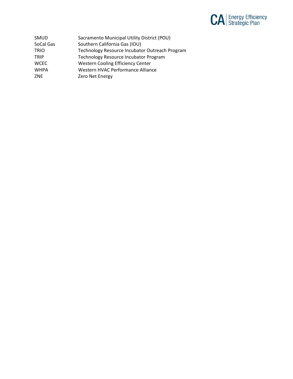

| <b>SMUD</b> | Sacramento Municipal Utility District (POU)    |
|-------------|------------------------------------------------|
| SoCal Gas   | Southern California Gas (IOU)                  |
| <b>TRIO</b> | Technology Resource Incubator Outreach Program |
| TRIP        | Technology Resource Incubator Program          |
| <b>WCEC</b> | <b>Western Cooling Efficiency Center</b>       |
| <b>WHPA</b> | Western HVAC Performance Alliance              |
| ZNE         | Zero Net Energy                                |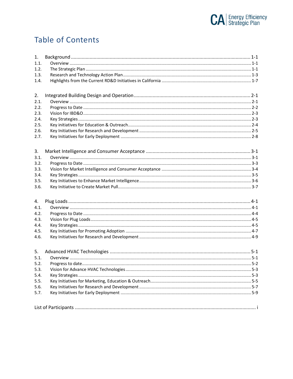

# **Table of Contents**

| 1.   |  |
|------|--|
| 1.1. |  |
| 1.2. |  |
| 1.3. |  |
| 1.4. |  |
| 2.   |  |
| 2.1. |  |
| 2.2. |  |
| 2.3. |  |
| 2.4. |  |
| 2.5. |  |
| 2.6. |  |
| 2.7. |  |
| 3.   |  |
| 3.1. |  |
| 3.2. |  |
| 3.3. |  |
| 3.4. |  |
| 3.5. |  |
| 3.6. |  |
| 4.   |  |
| 4.1. |  |
| 4.2. |  |
| 4.3. |  |
| 4.4. |  |
| 4.5. |  |
| 4.6. |  |
| 5.   |  |
| 5.1. |  |
| 5.2. |  |
| 5.3. |  |
| 5.4. |  |
| 5.5. |  |
| 5.6. |  |
| 5.7. |  |
|      |  |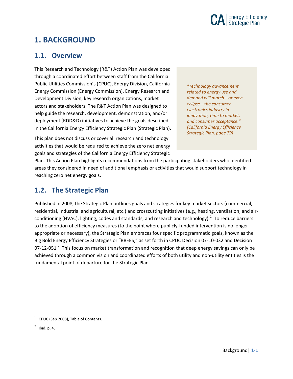

## <span id="page-6-0"></span>**1. BACKGROUND**

### <span id="page-6-1"></span>**1.1. Overview**

This Research and Technology (R&T) Action Plan was developed through a coordinated effort between staff from the California Public Utilities Commission's (CPUC), Energy Division, California Energy Commission (Energy Commission), Energy Research and Development Division, key research organizations, market actors and stakeholders. The R&T Action Plan was designed to help guide the research, development, demonstration, and/or deployment (RDD&D) initiatives to achieve the goals described in the California Energy Efficiency Strategic Plan (Strategic Plan).

*"Technology advancement related to energy use and demand will match—or even eclipse—the consumer electronics industry in innovation, time to market, and consumer acceptance." (California Energy Efficiency Strategic Plan, page 79)*

This plan does not discuss or cover all research and technology activities that would be required to achieve the zero net energy goals and strategies of the California Energy Efficiency Strategic

Plan. This Action Plan highlights recommendations from the participating stakeholders who identified areas they considered in need of additional emphasis or activities that would support technology in reaching zero net energy goals.

### <span id="page-6-2"></span>**1.2. The Strategic Plan**

Published in 2008, the Strategic Plan outlines goals and strategies for key market sectors (commercial, residential, industrial and agricultural, etc.) and crosscutting initiatives (e.g., heating, ventilation, and airconditioning (HVAC), lighting, codes and standards, and research and technology). $1$  To reduce barriers to the adoption of efficiency measures (to the point where publicly-funded intervention is no longer appropriate or necessary), the Strategic Plan embraces four specific programmatic goals, known as the Big Bold Energy Efficiency Strategies or "BBEES," as set forth in CPUC Decision 07-10-032 and Decision 07-1[2](#page-6-4)-051.<sup>2</sup> This focus on market transformation and recognition that deep energy savings can only be achieved through a common vision and coordinated efforts of both utility and non-utility entities is the fundamental point of departure for the Strategic Plan.

<span id="page-6-4"></span> $<sup>2</sup>$  Ibid, p. 4.</sup>

<span id="page-6-3"></span> $1$  CPUC (Sep 2008), Table of Contents.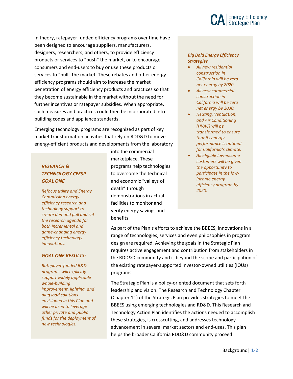

In theory, ratepayer funded efficiency programs over time have been designed to encourage suppliers, manufacturers, designers, researchers, and others, to provide efficiency products or services to "push" the market, or to encourage consumers and end-users to buy or use these products or services to "pull" the market. These rebates and other energy efficiency programs should aim to increase the market penetration of energy efficiency products and practices so that they become sustainable in the market without the need for further incentives or ratepayer subsidies. When appropriate, such measures and practices could then be incorporated into building codes and appliance standards.

Emerging technology programs are recognized as part of key market transformation activities that rely on RDD&D to move energy-efficient products and developments from the laboratory

#### *RESEARCH & TECHNOLOGY CEESP GOAL ONE*

*Refocus utility and Energy Commission energy efficiency research and technology support to create demand pull and set the research agenda for both incremental and game-changing energy efficiency technology innovations.*

#### *GOAL ONE RESULTS:*

*Ratepayer-funded R&D programs will explicitly support widely applicable whole-building improvement, lighting, and plug load solutions envisioned in this Plan and will be used to leverage other private and public funds for the deployment of new technologies.*

into the commercial marketplace. These programs help technologies to overcome the technical and economic "valleys of death" through demonstrations in actual facilities to monitor and verify energy savings and benefits.

#### *Big Bold Energy Efficiency Strategies*

- *All new residential construction in California will be zero net energy by 2020.*
- *All new commercial construction in California will be zero net energy by 2030.*
- *Heating, Ventilation, and Air Conditioning (HVAC) will be transformed to ensure that its energy performance is optimal for California's climate.*
- *All eligible low-income customers will be given the opportunity to participate in the lowincome energy efficiency program by 2020.*

As part of the Plan's efforts to achieve the BBEES, innovations in a range of technologies, services and even philosophies in program design are required. Achieving the goals in the Strategic Plan requires active engagement and contribution from stakeholders in the RDD&D community and is beyond the scope and participation of the existing ratepayer-supported investor-owned utilities (IOUs) programs.

The Strategic Plan is a policy-oriented document that sets forth leadership and vision. The Research and Technology Chapter (Chapter 11) of the Strategic Plan provides strategies to meet the BBEES using emerging technologies and RD&D. This Research and Technology Action Plan identifies the actions needed to accomplish these strategies, is crosscutting, and addresses technology advancement in several market sectors and end-uses. This plan helps the broader California RDD&D community proceed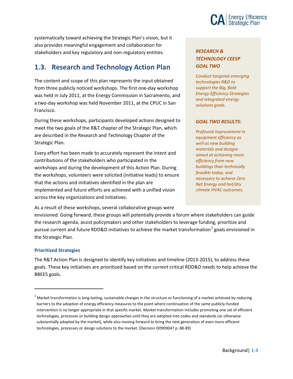

systematically toward achieving the Strategic Plan's vision, but it also provides meaningful engagement and collaboration for stakeholders and key regulatory and non-regulatory entities.

### <span id="page-8-0"></span>**1.3. Research and Technology Action Plan**

The content and scope of this plan represents the input obtained from three publicly noticed workshops. The first one-day workshop was held in July 2011, at the Energy Commission in Sacramento, and a two-day workshop was held November 2011, at the CPUC in San Francisco.

During these workshops, participants developed actions designed to meet the two goals of the R&T chapter of the Strategic Plan, which are described in the Research and Technology Chapter of the Strategic Plan.

Every effort has been made to accurately represent the intent and contributions of the stakeholders who participated in the workshops and during the development of this Action Plan. During the workshops, volunteers were solicited (initiative leads) to ensure that the actions and initiatives identified in the plan are implemented and future efforts are achieved with a unified vision across the key organizations and initiatives.

As a result of these workshops, several collaborative groups were

envisioned. Going forward, these groups will potentially provide a forum where stakeholders can guide the research agenda, assist policymakers and other stakeholders to leverage funding, prioritize and pursue current and future RDD&D initiatives to achieve the market transformation<sup>[3](#page-8-1)</sup> goals envisioned in the Strategic Plan.

#### **Prioritized Strategies**

 $\overline{a}$ 

The R&T Action Plan is designed to identify key initiatives and timeline (2013-2015), to address these goals. These key initiatives are prioritized based on the current critical RDD&D needs to help achieve the BBEES goals.

#### *RESEARCH & TECHNOLOGY CEESP GOAL TWO*

*Conduct targeted emerging technologies R&D to support the Big, Bold Energy Efficiency Strategies and integrated energy solutions goals.*

#### *GOAL TWO RESULTS:*

*Profound improvement in equipment efficiency as well as new building materials and designs aimed at achieving more efficiency from new buildings than technically feasible today, and necessary to achieve Zero Net Energy and hot/dry climate HVAC outcomes.*

<span id="page-8-1"></span> $3$  Market transformation is long-lasting, sustainable changes in the structure or functioning of a market achieved by reducing barriers to the adoption of energy efficiency measures to the point where continuation of the same publicly-funded intervention is no longer appropriate in that specific market. Market transformation includes promoting one set of efficient technologies, processes or building design approaches until they are adopted into codes and standards (or otherwise substantially adopted by the market), while also moving forward to bring the next generation of even more efficient technologies, processes or design solutions to the market. (Decision D0909047 p. 88-89)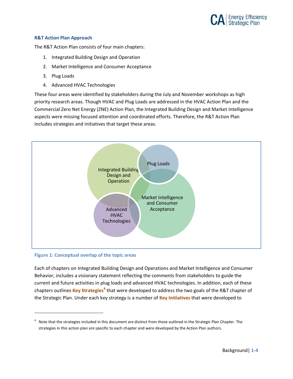

#### **R&T Action Plan Approach**

The R&T Action Plan consists of four main chapters:

- 1. Integrated Building Design and Operation
- 2. Market Intelligence and Consumer Acceptance
- 3. Plug Loads
- 4. Advanced HVAC Technologies

These four areas were identified by stakeholders during the July and November workshops as high priority research areas. Though HVAC and Plug Loads are addressed in the HVAC Action Plan and the Commercial Zero Net Energy (ZNE) Action Plan, the Integrated Building Design and Market Intelligence aspects were missing focused attention and coordinated efforts. Therefore, the R&T Action Plan includes strategies and initiatives that target these areas.



#### **Figure 1: Conceptual overlap of the topic areas**

 $\overline{a}$ 

Each of chapters on Integrated Building Design and Operations and Market Intelligence and Consumer Behavior, includes a visionary statement reflecting the comments from stakeholders to guide the current and future activities in plug loads and advanced HVAC technologies. In addition, each of these chapters outlines **Key Strategies**[4](#page-9-0) that were developed to address the two goals of the R&T chapter of the Strategic Plan. Under each key strategy is a number of **Key Initiatives** that were developed to

<span id="page-9-0"></span> $4$  Note that the strategies included in this document are distinct from those outlined in the Strategic Plan Chapter. The strategies in this action plan are specific to each chapter and were developed by the Action Plan authors.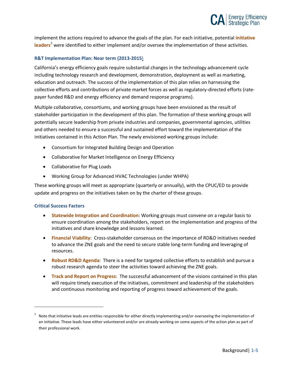

implement the actions required to advance the goals of the plan. For each initiative, potential **initiative leaders**[5](#page-10-0) were identified to either implement and/or oversee the implementation of these activities.

#### **R&T Implementation Plan: Near term (2013-2015**)

California's energy efficiency goals require substantial changes in the technology advancement cycle including technology research and development, demonstration, deployment as well as marketing, education and outreach. The success of the implementation of this plan relies on harnessing the collective efforts and contributions of private market forces as well as regulatory-directed efforts (ratepayer funded R&D and energy efficiency and demand response programs).

Multiple collaborative, consortiums, and working groups have been envisioned as the result of stakeholder participation in the development of this plan. The formation of these working groups will potentially secure leadership from private industries and companies, governmental agencies, utilities and others needed to ensure a successful and sustained effort toward the implementation of the initiatives contained in this Action Plan. The newly envisioned working groups include:

- Consortium for Integrated Building Design and Operation
- Collaborative for Market Intelligence on Energy Efficiency
- Collaborative for Plug Loads
- Working Group for Advanced HVAC Technologies (under WHPA)

These working groups will meet as appropriate (quarterly or annually), with the CPUC/ED to provide update and progress on the initiatives taken on by the charter of these groups.

#### **Critical Success Factors**

- **Statewide Integration and Coordination**: Working groups must convene on a regular basis to ensure coordination among the stakeholders, report on the implementation and progress of the initiatives and share knowledge and lessons learned.
- **Financial Viability**: Cross-stakeholder consensus on the importance of RD&D initiatives needed to advance the ZNE goals and the need to secure stable long-term funding and leveraging of resources.
- **Robust RD&D Agenda**: There is a need for targeted collective efforts to establish and pursue a robust research agenda to steer the activities toward achieving the ZNE goals.
- **Track and Report on Progress**: The successful advancement of the visions contained in this plan will require timely execution of the initiatives, commitment and leadership of the stakeholders and continuous monitoring and reporting of progress toward achievement of the goals.

<span id="page-10-0"></span><sup>&</sup>lt;sup>5</sup> Note that initiative leads are entities responsible for either directly implementing and/or overseeing the implementation of an initiative. These leads have either volunteered and/or are already working on some aspects of the action plan as part of their professional work.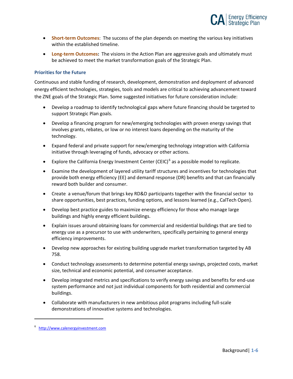

- **Short-term Outcomes**: The success of the plan depends on meeting the various key initiatives within the established timeline.
- **Long-term Outcomes:** The visions in the Action Plan are aggressive goals and ultimately must be achieved to meet the market transformation goals of the Strategic Plan.

#### **Priorities for the Future**

Continuous and stable funding of research, development, demonstration and deployment of advanced energy efficient technologies, strategies, tools and models are critical to achieving advancement toward the ZNE goals of the Strategic Plan. Some suggested initiatives for future consideration include:

- Develop a roadmap to identify technological gaps where future financing should be targeted to support Strategic Plan goals.
- Develop a financing program for new/emerging technologies with proven energy savings that involves grants, rebates, or low or no interest loans depending on the maturity of the technology.
- Expand federal and private support for new/emerging technology integration with California initiative through leveraging of funds, advocacy or other actions.
- Explore the California Energy Investment Center (CEIC)<sup>[6](#page-11-0)</sup> as a possible model to replicate.
- Examine the development of layered utility tariff structures and incentives for technologies that provide both energy efficiency (EE) and demand response (DR) benefits and that can financially reward both builder and consumer.
- Create a venue/forum that brings key RD&D participants together with the financial sector to share opportunities, best practices, funding options, and lessons learned (e.g., CalTech Open).
- Develop best practice guides to maximize energy efficiency for those who manage large buildings and highly energy efficient buildings.
- Explain issues around obtaining loans for commercial and residential buildings that are tied to energy use as a precursor to use with underwriters, specifically pertaining to general energy efficiency improvements.
- Develop new approaches for existing building upgrade market transformation targeted by AB 758.
- Conduct technology assessments to determine potential energy savings, projected costs, market size, technical and economic potential, and consumer acceptance.
- Develop integrated metrics and specifications to verify energy savings and benefits for end-use system performance and not just individual components for both residential and commercial buildings.
- Collaborate with manufacturers in new ambitious pilot programs including full-scale demonstrations of innovative systems and technologies.

<span id="page-11-0"></span><sup>6</sup> [http://www.calenergyinvestment.com](http://www.calenergyinvestment.com/)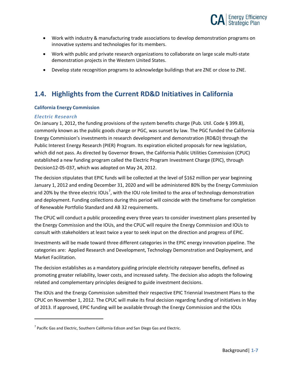

- Work with industry & manufacturing trade associations to develop demonstration programs on innovative systems and technologies for its members.
- Work with public and private research organizations to collaborate on large scale multi-state demonstration projects in the Western United States.
- Develop state recognition programs to acknowledge buildings that are ZNE or close to ZNE.

### <span id="page-12-0"></span>**1.4. Highlights from the Current RD&D Initiatives in California**

#### **California Energy Commission**

#### *Electric Research*

 $\overline{a}$ 

On January 1, 2012, the funding provisions of the system benefits charge (Pub. Util. Code § 399.8), commonly known as the public goods charge or PGC, was sunset by law. The PGC funded the California Energy Commission's investments in research development and demonstration (RD&D) through the Public Interest Energy Research (PIER) Program. Its expiration elicited proposals for new legislation, which did not pass. As directed by Governor Brown, the California Public Utilities Commission (CPUC) established a new funding program called the Electric Program Investment Charge (EPIC), through Decision12-05-037, which was adopted on May 24, 2012.

The decision stipulates that EPIC funds will be collected at the level of \$162 million per year beginning January 1, 2012 and ending December 31, 2020 and will be administered 80% by the Energy Commission and 20% by the three electric IOUs<sup>[7](#page-12-1)</sup>, with the IOU role limited to the area of technology demonstration and deployment. Funding collections during this period will coincide with the timeframe for completion of Renewable Portfolio Standard and AB 32 requirements.

The CPUC will conduct a public proceeding every three years to consider investment plans presented by the Energy Commission and the IOUs, and the CPUC will require the Energy Commission and IOUs to consult with stakeholders at least twice a year to seek input on the direction and progress of EPIC.

Investments will be made toward three different categories in the EPIC energy innovation pipeline. The categories are: Applied Research and Development, Technology Demonstration and Deployment, and Market Facilitation.

The decision establishes as a mandatory guiding principle electricity ratepayer benefits, defined as promoting greater reliability, lower costs, and increased safety. The decision also adopts the following related and complementary principles designed to guide investment decisions.

The IOUs and the Energy Commission submitted their respective EPIC Triennial Investment Plans to the CPUC on November 1, 2012. The CPUC will make its final decision regarding funding of initiatives in May of 2013. If approved, EPIC funding will be available through the Energy Commission and the IOUs

<span id="page-12-1"></span> $<sup>7</sup>$  Pacific Gas and Electric, Southern California Edison and San Diego Gas and Electric.</sup>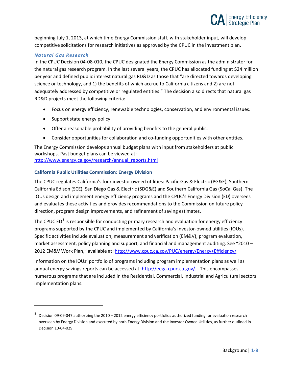

beginning July 1, 2013, at which time Energy Commission staff, with stakeholder input, will develop competitive solicitations for research initiatives as approved by the CPUC in the investment plan.

#### *Natural Gas Research*

 $\overline{a}$ 

In the CPUC Decision 04-08-010, the CPUC designated the Energy Commission as the administrator for the natural gas research program. In the last several years, the CPUC has allocated funding at \$24 million per year and defined public interest natural gas RD&D as those that "are directed towards developing science or technology, and 1) the benefits of which accrue to California citizens and 2) are not adequately addressed by competitive or regulated entities." The decision also directs that natural gas RD&D projects meet the following criteria:

- Focus on energy efficiency, renewable technologies, conservation, and environmental issues.
- Support state energy policy.
- Offer a reasonable probability of providing benefits to the general public.
- Consider opportunities for collaboration and co-funding opportunities with other entities.

The Energy Commission develops annual budget plans with input from stakeholders at public workshops. Past budget plans can be viewed at: [http://www.energy.ca.gov/research/annual\\_reports.html](http://www.energy.ca.gov/research/annual_reports.html)

#### **California Public Utilities Commission: Energy Division**

The CPUC regulates California's four investor owned utilities: Pacific Gas & Electric (PG&E), Southern California Edison (SCE), San Diego Gas & Electric (SDG&E) and Southern California Gas (SoCal Gas). The IOUs design and implement energy efficiency programs and the CPUC's Energy Division (ED) oversees and evaluates these activities and provides recommendations to the Commission on future policy direction, program design improvements, and refinement of saving estimates.

The CPUC ED $^8$  $^8$  is responsible for conducting primary research and evaluation for energy efficiency programs supported by the CPUC and implemented by California's investor-owned utilities (IOUs). Specific activities include evaluation, measurement and verification (EM&V), program evaluation, market assessment, policy planning and support, and financial and management auditing. See "2010 – 2012 EM&V Work Plan," available at:<http://www.cpuc.ca.gov/PUC/energy/Energy+Efficiency/>

Information on the IOUs' portfolio of programs including program implementation plans as well as annual energy savings reports can be accessed at: [http://eega.cpuc.ca.gov/.](http://eega.cpuc.ca.gov/) This encompasses numerous programs that are included in the Residential, Commercial, Industrial and Agricultural sectors implementation plans.

<span id="page-13-0"></span><sup>8</sup> Decision 09-09-047 authorizing the 2010 – 2012 energy efficiency portfolios authorized funding for evaluation research overseen by Energy Division and executed by both Energy Division and the Investor Owned Utilities, as further outlined in Decision 10-04-029.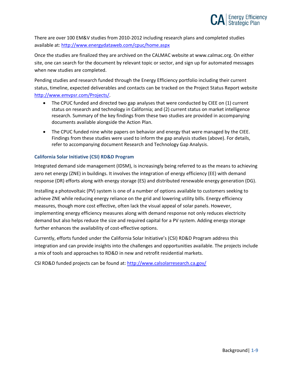

There are over 100 EM&V studies from 2010-2012 including research plans and completed studies available at:<http://www.energydataweb.com/cpuc/home.aspx>

Once the studies are finalized they are archived on the CALMAC website at www.calmac.org. On either site, one can search for the document by relevant topic or sector, and sign up for automated messages when new studies are completed.

Pending studies and research funded through the Energy Efficiency portfolio including their current status, timeline, expected deliverables and contacts can be tracked on the Project Status Report website [http://www.emvpsr.com/Projects/.](http://www.emvpsr.com/Projects/)

- The CPUC funded and directed two gap analyses that were conducted by CIEE on (1) current status on research and technology in California; and (2) current status on market intelligence research. Summary of the key findings from these two studies are provided in accompanying documents available alongside the Action Plan.
- The CPUC funded nine white papers on behavior and energy that were managed by the CIEE. Findings from these studies were used to inform the gap analysis studies (above). For details, refer to accompanying document Research and Technology Gap Analysis.

#### **California Solar Initiative (CSI) RD&D Program**

Integrated demand side management (IDSM), is increasingly being referred to as the means to achieving zero net energy (ZNE) in buildings. It involves the integration of energy efficiency (EE) with demand response (DR) efforts along with energy storage (ES) and distributed renewable energy generation (DG).

Installing a photovoltaic (PV) system is one of a number of options available to customers seeking to achieve ZNE while reducing energy reliance on the grid and lowering utility bills. Energy efficiency measures, though more cost effective, often lack the visual appeal of solar panels. However, implementing energy efficiency measures along with demand response not only reduces electricity demand but also helps reduce the size and required capital for a PV system. Adding energy storage further enhances the availability of cost-effective options.

Currently, efforts funded under the California Solar Initiative's (CSI) RD&D Program address this integration and can provide insights into the challenges and opportunities available. The projects include a mix of tools and approaches to RD&D in new and retrofit residential markets.

CSI RD&D funded projects can be found at:<http://www.calsolarresearch.ca.gov/>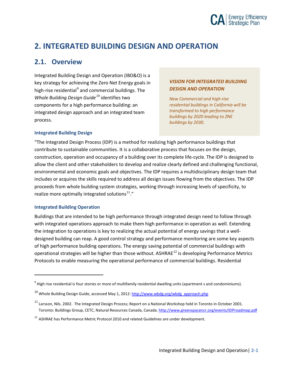

## <span id="page-15-0"></span>**2. INTEGRATED BUILDING DESIGN AND OPERATION**

### <span id="page-15-1"></span>**2.1. Overview**

Integrated Building Design and Operation (IBD&O) is a key strategy for achieving the Zero Net Energy goals in high-rise residential<sup>[9](#page-15-2)</sup> and commercial buildings. The *Whole Building Design Guide[10](#page-15-3)* identifies two components for a high performance building: an integrated design approach and an integrated team process.

#### *VISION FOR INTEGRATED BUILDING DESIGN AND OPERATION*

*New Commercial and high-rise residential buildings in California will be transformed to high performance buildings by 2020 leading to ZNE buildings by 2030.*

#### **Integrated Building Design**

"The Integrated Design Process (IDP) is a method for realizing high performance buildings that contribute to sustainable communities. It is a collaborative process that focuses on the design, construction, operation and occupancy of a building over its complete life-cycle. The IDP is designed to allow the client and other stakeholders to develop and realize clearly defined and challenging functional, environmental and economic goals and objectives. The IDP requires a multidisciplinary design team that includes or acquires the skills required to address all design issues flowing from the objectives. The IDP proceeds from whole building system strategies, working through increasing levels of specificity, to realize more optimally integrated solutions $11.$  $11.$ "

#### **Integrated Building Operation**

l

Buildings that are intended to be high performance through integrated design need to follow through with integrated operations approach to make them high performance in operation as well. Extending the integration to operations is key to realizing the actual potential of energy savings that a welldesigned building can reap. A good control strategy and performance monitoring are some key aspects of high performance building operations. The energy saving potential of commercial buildings with operational strategies will be higher than those without. ASHRAE<sup>[12](#page-15-5)</sup> is developing Performance Metrics Protocols to enable measuring the operational performance of commercial buildings. Residential

<span id="page-15-2"></span> $9$  High rise residential is four stories or more of multifamily residential dwelling units (apartment s and condominiums).

<span id="page-15-3"></span><sup>&</sup>lt;sup>10</sup> Whole Building Design Guide, accessed May 1, 2012[: http://www.wbdg.org/wbdg\\_approach.php](http://www.wbdg.org/wbdg_approach.php)

<span id="page-15-4"></span><sup>&</sup>lt;sup>11</sup> Larsson, Nils. 2002. The Integrated Design Process; Report on a National Workshop held in Toronto in October 2001. Toronto: Buildings Group, CETC, Natural Resources Canada, Canada. <http://www.greenspacencr.org/events/IDProadmap.pdf>

<span id="page-15-5"></span><sup>&</sup>lt;sup>12</sup> ASHRAE has Performance Metric Protocol 2010 and related Guidelines are under development.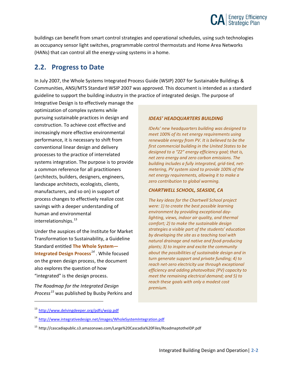

buildings can benefit from smart control strategies and operational schedules, using such technologies as occupancy sensor light switches, programmable control thermostats and Home Area Networks (HANs) that can control all the energy-using systems in a home.

### <span id="page-16-0"></span>**2.2. Progress to Date**

In July 2007, the Whole Systems Integrated Process Guide (WSIP) 2007 for Sustainable Buildings & Communities, ANSI/MTS Standard WSIP 2007 was approved. This document is intended as a standard guideline to support the building industry in the practice of integrated design. The purpose of

Integrative Design is to effectively manage the optimization of complex systems while pursuing sustainable practices in design and construction. To achieve cost effective and increasingly more effective environmental performance, it is necessary to shift from conventional linear design and delivery processes to the practice of interrelated systems integration. The purpose is to provide a common reference for all practitioners (architects, builders, designers, engineers, landscape architects, ecologists, clients, manufacturers, and so on) in support of process changes to effectively realize cost savings with a deeper understanding of human and environmental interrelationships.<sup>[13](#page-16-1)</sup>

Under the auspices of the Institute for Market Transformation to Sustainability, a Guideline Standard entitled **The Whole System— Integrated Design Process***[14](#page-16-2)* . While focused on the green design process, the document also explores the question of how "integrated" is the design process.

*The Roadmap for the Integrated Design Process[15](#page-16-3)* was published by Busby Perkins and

#### *IDEAS' HEADQUARTERS BUILDING*

*IDeAs' new headquarters building was designed to meet 100% of its net energy requirements using renewable energy from PV. It is believed to be the first commercial building in the United States to be designed to a "Z2" energy efficiency goal; that is, net zero energy and zero carbon emissions. The building includes a fully integrated, grid-tied, netmetering, PV system sized to provide 100% of the net energy requirements, allowing it to make a zero contribution to global warming.*

#### *CHARTWELL SCHOOL, SEASIDE, CA*

*The key ideas for the Chartwell School project were: 1) to create the best possible learning environment by providing exceptional daylighting, views, indoor air quality, and thermal comfort; 2) to make the sustainable design strategies a visible part of the students' education by developing the site as a teaching tool with natural drainage and native and food-producing plants; 3) to inspire and excite the community about the possibilities of sustainable design and in turn generate support and private funding; 4) to reach net-zero electricity use through exceptional efficiency and adding photovoltaic (PV) capacity to meet the remaining electrical demand; and 5) to reach these goals with only a modest cost premium.*

<span id="page-16-1"></span><sup>13</sup> <http://www.delvingdeeper.org/pdfs/wsip.pdf>

<span id="page-16-2"></span><sup>14</sup> <http://www.integrativedesign.net/images/WholeSystemIntegration.pdf>

<span id="page-16-3"></span><sup>15</sup> http://cascadiapublic.s3.amazonaws.com/Large%20Cascadia%20Files/RoadmaptotheIDP.pdf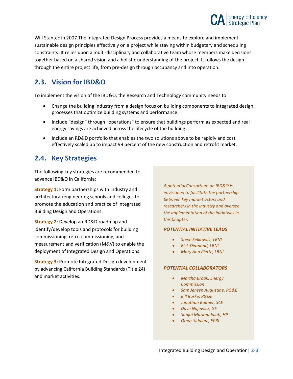

Will Stantec in 2007.The Integrated Design Process provides a means to explore and implement sustainable design principles effectively on a project while staying within budgetary and scheduling constraints. It relies upon a multi-disciplinary and collaborative team whose members make decisions together based on a shared vision and a holistic understanding of the project. It follows the design through the entire project life, from pre-design through occupancy and into operation.

### <span id="page-17-0"></span>**2.3. Vision for IBD&O**

To implement the vision of the IBD&O, the Research and Technology community needs to:

- Change the building industry from a design focus on building components to integrated design processes that optimize building systems and performance.
- Include "design" through "operations" to ensure that buildings perform as expected and real energy savings are achieved across the lifecycle of the building.
- Include an RD&D portfolio that enables the two solutions above to be rapidly and cost effectively scaled up to impact 99 percent of the new construction and retrofit market.

### <span id="page-17-1"></span>**2.4. Key Strategies**

The following key strategies are recommended to advance IBD&O in California:

**Strategy 1:** Form partnerships with industry and architectural/engineering schools and colleges to promote the education and practice of Integrated Building Design and Operations.

**Strategy 2:** Develop an RD&D roadmap and identify/develop tools and protocols for building commissioning, retro-commissioning, and measurement and verification (M&V) to enable the deployment of Integrated Design and Operations.

**Strategy 3:** Promote Integrated Design development by advancing California Building Standards (Title 24) and market activities.

*A potential Consortium on IBD&O is envisioned to facilitate the partnership between key market actors and researchers in the industry and oversee the implementation of the initiatives in this Chapter.*

#### *POTENTIAL INITIATIVE LEADS*

- *Steve Selkowitz, LBNL*
- *Rick Diamond, LBNL*
- *Mary Ann Piette, LBNL*

#### *POTENTIAL COLLABORATORS*

- *Martha Brook, Energy Commission*
- *Sam Jensen Augustine, PG&E*
- *Bill Burke, PG&E*
- *Jonathan Budner, SCE*
- *Dave Najewicz, GE*
- *Sanjai Marimadaiah, HP*
- *Omar Siddiqui, EPRI*

Integrated Building Design and Operation| **2-3**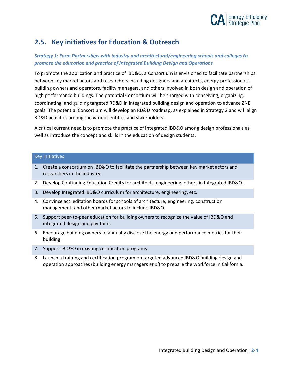

### <span id="page-18-0"></span>**2.5. Key initiatives for Education & Outreach**

#### *Strategy 1: Form Partnerships with industry and architectural/engineering schools and colleges to promote the education and practice of Integrated Building Design and Operations*

To promote the application and practice of IBD&O, a Consortium is envisioned to facilitate partnerships between key market actors and researchers including designers and architects, energy professionals, building owners and operators, facility managers, and others involved in both design and operation of high performance buildings. The potential Consortium will be charged with conceiving, organizing, coordinating, and guiding targeted RD&D in integrated building design and operation to advance ZNE goals. The potential Consortium will develop an RD&D roadmap, as explained in Strategy 2 and will align RD&D activities among the various entities and stakeholders.

A critical current need is to promote the practice of integrated IBD&O among design professionals as well as introduce the concept and skills in the education of design students.

#### Key Initiatives

- 1. Create a consortium on IBD&O to facilitate the partnership between key market actors and researchers in the industry.
- 2. Develop Continuing Education Credits for architects, engineering, others in Integrated IBD&O.
- 3. Develop Integrated IBD&O curriculum for architecture, engineering, etc.
- 4. Convince accreditation boards for schools of architecture, engineering, construction management, and other market actors to include IBD&O.
- 5. Support peer-to-peer education for building owners to recognize the value of IBD&O and integrated design and pay for it.
- 6. Encourage building owners to annually disclose the energy and performance metrics for their building.
- 7. Support IBD&O in existing certification programs.
- 8. Launch a training and certification program on targeted advanced IBD&O building design and operation approaches (building energy managers *et al*) to prepare the workforce in California.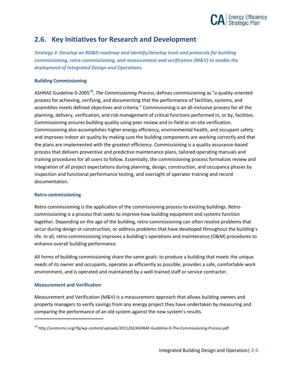

### <span id="page-19-0"></span>**2.6. Key Initiatives for Research and Development**

*Strategy 2: Develop an RD&D roadmap and identify/develop tools and protocols for building commissioning, retro-commissioning, and measurement and verification (M&V) to enable the deployment of Integrated Design and Operations.*

#### **Building Commissioning**

ASHRAE Guideline 0-2005[16,](#page-19-1) *The Commissioning Process*, defines commissioning as "a quality-oriented process for achieving, verifying, and documenting that the performance of facilities, systems, and assemblies meets defined objectives and criteria." Commissioning is an all-inclusive process for all the planning, delivery, verification, and risk management of critical functions performed in, or by, facilities. Commissioning ensures building quality using peer review and in-field or on-site verification. Commissioning also accomplishes higher energy efficiency, environmental health, and occupant safety and improves indoor air quality by making sure the building components are working correctly and that the plans are implemented with the greatest efficiency. Commissioning is a quality assurance-based process that delivers preventive and predictive maintenance plans, tailored operating manuals and training procedures for all users to follow. Essentially, the commissioning process formalizes review and integration of all project expectations during planning, design, construction, and occupancy phases by inspection and functional performance testing, and oversight of operator training and record documentation.

#### **Retro-commissioning**

Retro-commissioning is the application of the commissioning process to existing buildings. Retrocommissioning is a process that seeks to improve how building equipment and systems function together. Depending on the age of the building, retro-commissioning can often resolve problems that occur during design or construction, or address problems that have developed throughout the building's life. In all, retro-commissioning improves a building's operations and maintenance (O&M) procedures to enhance overall building performance.

All forms of building commissioning share the same goals: to produce a building that meets the unique needs of its owner and occupants, operates as efficiently as possible, provides a safe, comfortable work environment, and is operated and maintained by a well-trained staff or service contractor.

#### **Measurement and Verification**

 $\overline{a}$ 

Measurement and Verification (M&V) is a measurement approach that allows building owners and property managers to verify savings from any energy project they have undertaken by measuring and comparing the performance of an old system against the new system's results.

<span id="page-19-1"></span><sup>&</sup>lt;sup>16</sup> http://unmsrmc.org/rfp/wp-content/uploads/2011/02/ASHRAE-Guideline-0-The-Commissioning-Process.pdf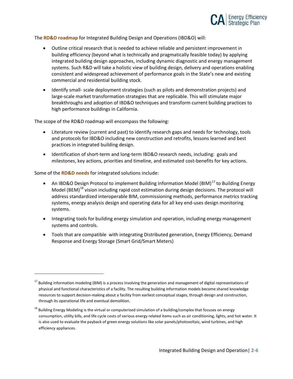

The **RD&D roadmap** for Integrated Building Design and Operations (IBD&O) will:

- Outline critical research that is needed to achieve reliable and persistent improvement in building efficiency (beyond what is technically and pragmatically feasible today) by applying integrated building design approaches, including dynamic diagnostic and energy management systems. Such R&D will take a holistic view of building design, delivery and operations enabling consistent and widespread achievement of performance goals in the State's new and existing commercial and residential building stock.
- Identify small- scale deployment strategies (such as pilots and demonstration projects) and large-scale market transformation strategies that are replicable. This will stimulate major breakthroughs and adoption of IBD&O techniques and transform current building practices to high performance buildings in California.

The scope of the RD&D roadmap will encompass the following:

- Literature review (current and past) to identify research gaps and needs for technology, tools and protocols for IBD&O including new construction and retrofits, lessons learned and best practices in integrated building design.
- Identification of short-term and long-term IBD&O research needs, including: goals and milestones, key actions, priorities and timeline, and estimated cost-benefits for key actions.

Some of the **RD&D needs** for integrated solutions include:

- An IBD&O Design Protocol to implement Building Information Model (BIM) $^{17}$  $^{17}$  $^{17}$  to Building Energy Model (BEM)<sup>[18](#page-20-1)</sup> vision including rapid cost estimation during design decisions. The protocol will address standardized interoperable BIM, commissioning methods, performance metrics tracking systems, energy analysis design and operating data for all key end-uses design monitoring systems.
- Integrating tools for building energy simulation and operation, including energy management systems and controls.
- Tools that are compatible with integrating Distributed generation, Energy Efficiency, Demand Response and Energy Storage (Smart Grid/Smart Meters)

<span id="page-20-0"></span> $17$  Building information modeling (BIM) is a process involving the generation and management of digital representations of physical and functional characteristics of a facility. The resulting building information models become shared knowledge resources to support decision-making about a facility from earliest conceptual stages, through design and construction, through its operational life and eventual demolition.

<span id="page-20-1"></span><sup>&</sup>lt;sup>18</sup> Building Energy Modeling is the virtual or computerized simulation of a building/complex that focuses on energy consumption, utility bills, and life cycle costs of various energy related items such as air conditioning, lights, and hot water. It is also used to evaluate the payback of green energy solutions like solar panels/photovoltaic, wind turbines, and high efficiency appliances.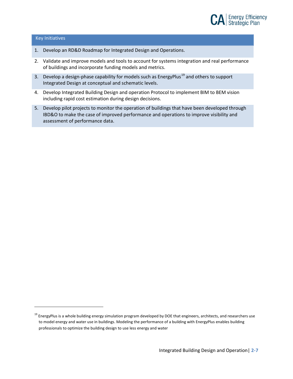

#### Key Initiatives

- 1. Develop an RD&D Roadmap for Integrated Design and Operations.
- 2. Validate and improve models and tools to account for systems integration and real performance of buildings and incorporate funding models and metrics.
- 3. Develop a design-phase capability for models such as EnergyPlus<sup>[19](#page-21-0)</sup> and others to support Integrated Design at conceptual and schematic levels.
- 4. Develop Integrated Building Design and operation Protocol to implement BIM to BEM vision including rapid cost estimation during design decisions.
- 5. Develop pilot projects to monitor the operation of buildings that have been developed through IBD&O to make the case of improved performance and operations to improve visibility and assessment of performance data.

<span id="page-21-0"></span><sup>&</sup>lt;sup>19</sup> EnergyPlus is a whole building energy simulation program developed by DOE that engineers, architects, and researchers use to model energy and water use in buildings. Modeling the performance of a building with EnergyPlus enables building professionals to optimize the building design to use less energy and water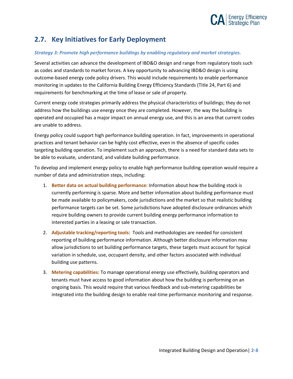

### <span id="page-22-0"></span>**2.7. Key Initiatives for Early Deployment**

#### *Strategy 3: Promote high performance buildings by enabling regulatory and market strategies.*

Several activities can advance the development of IBD&O design and range from regulatory tools such as codes and standards to market forces. A key opportunity to advancing IBD&O design is using outcome-based energy code policy drivers. This would include requirements to enable performance monitoring in updates to the California Building Energy Efficiency Standards (Title 24, Part 6) and requirements for benchmarking at the time of lease or sale of property.

Current energy code strategies primarily address the physical characteristics of buildings; they do not address how the buildings use energy once they are completed. However, the way the building is operated and occupied has a major impact on annual energy use, and this is an area that current codes are unable to address.

Energy policy could support high performance building operation. In fact, improvements in operational practices and tenant behavior can be highly cost effective, even in the absence of specific codes targeting building operation. To implement such an approach, there is a need for standard data sets to be able to evaluate, understand, and validate building performance.

To develop and implement energy policy to enable high performance building operation would require a number of data and administration steps, including:

- 1. **Better data on actual building performance:** Information about how the building stock is currently performing is sparse. More and better information about building performance must be made available to policymakers, code jurisdictions and the market so that realistic building performance targets can be set. Some jurisdictions have adopted disclosure ordinances which require building owners to provide current building energy performance information to interested parties in a leasing or sale transaction.
- 2. **Adjustable tracking/reporting tools:** Tools and methodologies are needed for consistent reporting of building performance information. Although better disclosure information may allow jurisdictions to set building performance targets, these targets must account for typical variation in schedule, use, occupant density, and other factors associated with individual building use patterns.
- 3. **Metering capabilities:** To manage operational energy use effectively, building operators and tenants must have access to good information about how the building is performing on an ongoing basis. This would require that various feedback and sub-metering capabilities be integrated into the building design to enable real-time performance monitoring and response.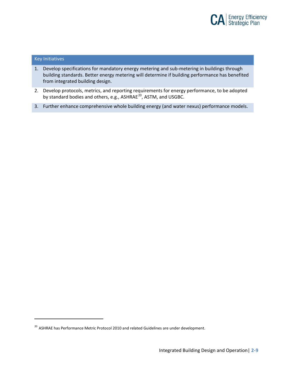

#### Key Initiatives

- 1. Develop specifications for mandatory energy metering and sub-metering in buildings through building standards. Better energy metering will determine if building performance has benefited from integrated building design.
- 2. Develop protocols, metrics, and reporting requirements for energy performance, to be adopted by standard bodies and others, e.g., ASHRAE<sup>[20](#page-23-0)</sup>, ASTM, and USGBC.
- 3. Further enhance comprehensive whole building energy (and water nexus) performance models.

<span id="page-23-0"></span><sup>&</sup>lt;sup>20</sup> ASHRAE has Performance Metric Protocol 2010 and related Guidelines are under development.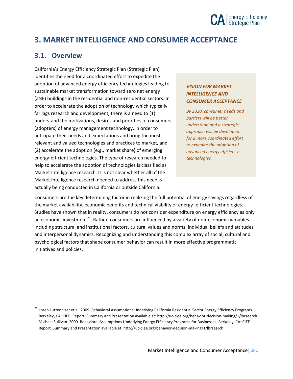# **CA** Energy Efficiency

## <span id="page-24-0"></span>**3. MARKET INTELLIGENCE AND CONSUMER ACCEPTANCE**

### <span id="page-24-1"></span>**3.1. Overview**

 $\overline{a}$ 

California's Energy Efficiency Strategic Plan (Strategic Plan) identifies the need for a coordinated effort to expedite the adoption of advanced energy efficiency technologies leading to sustainable market transformation toward zero net energy (ZNE) buildings in the residential and non-residential sectors. In order to accelerate the adoption of technology which typically far lags research and development, there is a need to (1) understand the motivations, desires and priorities of consumers (adopters) of energy management technology, in order to anticipate their needs and expectations and bring the most relevant and valued technologies and practices to market, and (2) accelerate the adoption (e.g., market share) of emerging energy-efficient technologies. The type of research needed to help to accelerate the adoption of technologies is classified as Market Intelligence research. It is not clear whether all of the Market Intelligence research needed to address this need is actually being conducted in California or outside California.

#### *VISION FOR MARKET INTELLIGENCE AND CONSUMER ACCEPTANCE*

*By 2020, consumer needs and barriers will be better understood and a strategic approach will be developed for a more coordinated effort to expedite the adoption of advanced energy efficiency technologies.*

Consumers are the key determining factor in realizing the full potential of energy savings regardless of the market availability, economic benefits and technical viability of energy- efficient technologies. Studies have shown that in reality, consumers do not consider expenditure on energy efficiency as only an economic investment<sup>21</sup>. Rather, consumers are influenced by a variety of non-economic variables including structural and institutional factors, cultural values and norms, individual beliefs and attitudes and interpersonal dynamics. Recognizing and understanding this complex array of social, cultural and psychological factors that shape consumer behavior can result in more effective programmatic initiatives and policies.

<span id="page-24-2"></span><sup>&</sup>lt;sup>21</sup> Loren Lutzenhiser et al. 2009. Behavioral Assumptions Underlying California Residential Sector Energy Efficiency Programs. Berkeley, CA: CIEE. Report, Summary and Presentation available at[: http://uc-ciee.org/behavior-decision-making/1/lbrsearch.](http://uc-ciee.org/behavior-decision-making/1/lbrsearch)  Michael Sullivan. 2009. Behavioral Assumptions Underlying Energy Efficiency Programs for Businesses. Berkeley, CA: CIEE. Report, Summary and Presentation available at: http://uc-ciee.org/behavior-decision-making/1/lbrsearch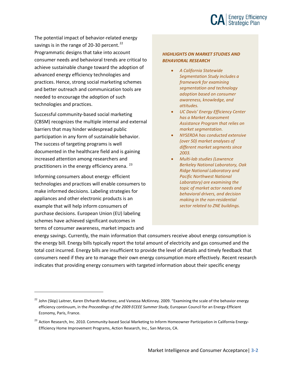

The potential impact of behavior-related energy savings is in the range of 20-30 percent.<sup>[22](#page-25-0)</sup> Programmatic designs that take into account consumer needs and behavioral trends are critical to achieve sustainable change toward the adoption of advanced energy efficiency technologies and practices. Hence, strong social marketing schemes and better outreach and communication tools are needed to encourage the adoption of such technologies and practices.

Successful community-based social marketing (CBSM) recognizes the multiple internal and external barriers that may hinder widespread public participation in any form of sustainable behavior. The success of targeting programs is well documented in the healthcare field and is gaining increased attention among researchers and practitioners in the energy efficiency arena.<sup>[23](#page-25-1)</sup>

Informing consumers about energy- efficient technologies and practices will enable consumers to make informed decisions. Labeling strategies for appliances and other electronic products is an example that will help inform consumers of purchase decisions. European Union (EU) labeling schemes have achieved significant outcomes in terms of consumer awareness, market impacts and

l

#### *HIGHLIGHTS ON MARKET STUDIES AND BEHAVIORAL RESEARCH*

- *A California Statewide Segmentation Study includes a framework for examining segmentation and technology adoption based on consumer awareness, knowledge, and attitudes.*
- *UC Davis' Energy Efficiency Center has a Market Assessment Assistance Program that relies on market segmentation.*
- *NYSERDA has conducted extensive (over 50) market analyses of different market segments since 2003.*
- *Multi-lab studies (Lawrence Berkeley National Laboratory, Oak Ridge National Laboratory and Pacific Northwest National Laboratory) are examining the topic of market actor needs and behavioral drivers, and decision making in the non-residential sector related to ZNE buildings.*

energy savings. Currently, the main information that consumers receive about energy consumption is the energy bill. Energy bills typically report the total amount of electricity and gas consumed and the total cost incurred. Energy bills are insufficient to provide the level of details and timely feedback that consumers need if they are to manage their own energy consumption more effectively. Recent research indicates that providing energy consumers with targeted information about their specific energy

<span id="page-25-0"></span><sup>&</sup>lt;sup>22</sup> John (Skip) Laitner, Karen Ehrhardt-Martinez, and Vanessa McKinney. 2009. "Examining the scale of the behavior energy efficiency continuum, in the *Proceedings of the 2009 ECEEE Summer Study*, European Council for an Energy-Efficient Economy, Paris, France.

<span id="page-25-1"></span><sup>&</sup>lt;sup>23</sup> Action Research, Inc. 2010. Community-based Social Marketing to Inform Homeowner Participation in California Energy-Efficiency Home Improvement Programs, Action Research, Inc., San Marcos, CA.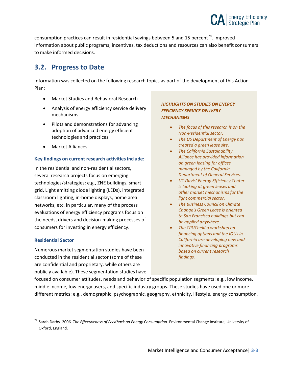

consumption practices can result in residential savings between 5 and 15 percent<sup>24</sup>. Improved information about public programs, incentives, tax deductions and resources can also benefit consumers to make informed decisions.

### <span id="page-26-0"></span>**3.2. Progress to Date**

Information was collected on the following research topics as part of the development of this Action Plan:

- Market Studies and Behavioral Research
- Analysis of energy efficiency service delivery mechanisms
- Pilots and demonstrations for advancing adoption of advanced energy efficient technologies and practices
- Market Alliances

#### **Key findings on current research activities include:**

In the residential and non-residential sectors, several research projects focus on emerging technologies/strategies: e.g., ZNE buildings, smart grid, Light emitting diode lighting (LEDs), integrated classroom lighting, in-home displays, home area networks, etc. In particular, many of the process evaluations of energy efficiency programs focus on the needs, drivers and decision-making processes of consumers for investing in energy efficiency.

#### **Residential Sector**

 $\overline{a}$ 

Numerous market segmentation studies have been conducted in the residential sector (some of these are confidential and proprietary, while others are publicly available). These segmentation studies have

#### *HIGHLIGHTS ON STUDIES ON ENERGY EFFICIENCY SERVICE DELIVERY MECHANISMS*

- *The focus of this research is on the Non-Residential sector.*
- *The US Department of Energy has created a green lease site.*
- *The California Sustainability Alliance has provided information on green leasing for offices managed by the California Department of General Services.*
- *UC Davis' Energy Efficiency Center is looking at green leases and other market mechanisms for the light commercial sector.*
- *The Business Council on Climate Change's Green Lease is oriented to San Francisco buildings but can be applied anywhere.*
- *The CPUCheld a workshop on financing options and the IOUs in California are developing new and innovative financing programs based on current research findings.*

focused on consumer attitudes, needs and behavior of specific population segments: e.g., low income, middle income, low energy users, and specific industry groups. These studies have used one or more different metrics: e.g., demographic, psychographic, geography, ethnicity, lifestyle, energy consumption,

<span id="page-26-1"></span><sup>24</sup> Sarah Darby. 2006. *The Effectiveness of Feedback on Energy Consumption*. Environmental Change Institute, University of Oxford, England.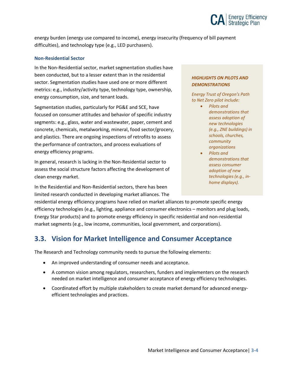

energy burden (energy use compared to income), energy insecurity (frequency of bill payment difficulties), and technology type (e.g., LED purchasers).

#### **Non-Residential Sector**

In the Non-Residential sector, market segmentation studies have been conducted, but to a lesser extent than in the residential sector. Segmentation studies have used one or more different metrics: e.g., industry/activity type, technology type, ownership, energy consumption, size, and tenant loads.

Segmentation studies, particularly for PG&E and SCE, have focused on consumer attitudes and behavior of specific industry segments: e.g., glass, water and wastewater, paper, cement and concrete, chemicals, metalworking, mineral, food sector/grocery, and plastics. There are ongoing inspections of retrofits to assess the performance of contractors, and process evaluations of energy efficiency programs.

In general, research is lacking in the Non-Residential sector to assess the social structure factors affecting the development of clean energy market.

In the Residential and Non-Residential sectors, there has been limited research conducted in developing market alliances. The

#### *HIGHLIGHTS ON PILOTS AND DEMONSTRATIONS*

*Energy Trust of Oregon's Path to Net Zero pilot include:*

- *Pilots and demonstrations that assess adoption of new technologies (e.g., ZNE buildings) in schools, churches, community organizations*
- *Pilots and demonstrations that assess consumer adoption of new technologies (e.g., inhome displays).*

residential energy efficiency programs have relied on market alliances to promote specific energy efficiency technologies (e.g., lighting, appliance and consumer electronics – monitors and plug loads, Energy Star products) and to promote energy efficiency in specific residential and non-residential market segments (e.g., low income, communities, local government, and corporations).

### <span id="page-27-0"></span>**3.3. Vision for Market Intelligence and Consumer Acceptance**

The Research and Technology community needs to pursue the following elements:

- An improved understanding of consumer needs and acceptance.
- A common vision among regulators, researchers, funders and implementers on the research needed on market intelligence and consumer acceptance of energy efficiency technologies.
- Coordinated effort by multiple stakeholders to create market demand for advanced energyefficient technologies and practices.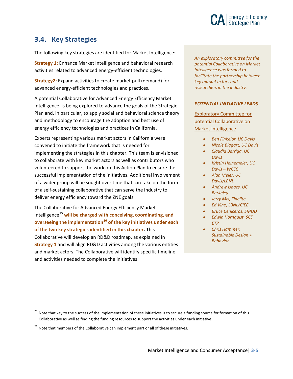

### <span id="page-28-0"></span>**3.4. Key Strategies**

The following key strategies are identified for Market Intelligence:

**Strategy 1:** Enhance Market Intelligence and behavioral research activities related to advanced energy-efficient technologies.

**Strategy2:** Expand activities to create market pull (demand) for advanced energy-efficient technologies and practices.

A potential Collaborative for Advanced Energy Efficiency Market Intelligence is being explored to advance the goals of the Strategic Plan and, in particular, to apply social and behavioral science theory and methodology to encourage the adoption and best use of energy efficiency technologies and practices in California.

Experts representing various market actors in California were convened to initiate the framework that is needed for implementing the strategies in this chapter. This team is envisioned to collaborate with key market actors as well as contributors who volunteered to support the work on this Action Plan to ensure the successful implementation of the initiatives. Additional involvement of a wider group will be sought over time that can take on the form of a self-sustaining collaborative that can serve the industry to deliver energy efficiency toward the ZNE goals.

The Collaborative for Advanced Energy Efficiency Market Intelligence<sup>[25](#page-28-1)</sup> will be charged with conceiving, coordinating, and **overseeing the implementation[26](#page-28-2) of the key initiatives under each of the two key strategies identified in this chapter.** This Collaborative will develop an RD&D roadmap, as explained in **Strategy 1** and will align RD&D activities among the various entities and market actors. The Collaborative will identify specific timeline and activities needed to complete the initiatives.

*An exploratory committee for the potential Collaborative on Market Intelligence was formed to facilitate the partnership between key market actors and researchers in the industry.*

#### *POTENTIAL INITIATIVE LEADS*

Exploratory Committee for potential Collaborative on Market Intelligence

- *Ben Finkelor, UC Davis*
- *Nicole Biggart, UC Davis*
- *Claudia Barriga, UC Davis*
- *Kristin Heinemeier, UC Davis – WCEC*
- *Alan Meier, UC Davis/LBNL*
- *Andrew Isaacs, UC Berkeley*
- *Jerry Mix, Finelite*
- *Ed Vine, LBNL/CIEE*
- *Bruce Ceniceros, SMUD*
- *Edwin Hornquist, SCE ETP*
- *Chris Hammer, Sustainable Design + Behavior*

<span id="page-28-1"></span><sup>&</sup>lt;sup>25</sup> Note that key to the success of the implementation of these initiatives is to secure a funding source for formation of this Collaborative as well as finding the funding resources to support the activities under each initiative.

<span id="page-28-2"></span><sup>&</sup>lt;sup>26</sup> Note that members of the Collaborative can implement part or all of these initiatives.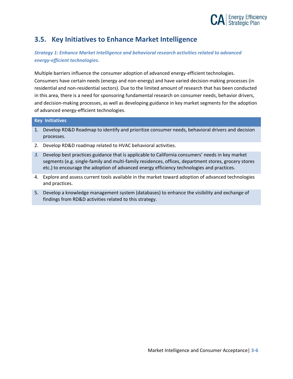

### <span id="page-29-0"></span>**3.5. Key Initiatives to Enhance Market Intelligence**

*Strategy 1: Enhance Market Intelligence and behavioral research activities related to advanced energy-efficient technologies.* 

Multiple barriers influence the consumer adoption of advanced energy-efficient technologies. Consumers have certain needs (energy and non-energy) and have varied decision-making processes (in residential and non-residential sectors). Due to the limited amount of research that has been conducted in this area, there is a need for sponsoring fundamental research on consumer needs, behavior drivers, and decision-making processes, as well as developing guidance in key market segments for the adoption of advanced energy-efficient technologies.

#### **Key Initiatives**

- 1. Develop RD&D Roadmap to identify and prioritize consumer needs, behavioral drivers and decision processes.
- 2. Develop RD&D roadmap related to HVAC behavioral activities.
- *3.* Develop best practices guidance that is applicable to California consumers' needs in key market segments (e.g. single-family and multi-family residences, offices, department stores, grocery stores etc.) to encourage the adoption of advanced energy efficiency technologies and practices.
- 4. Explore and assess current tools available in the market toward adoption of advanced technologies and practices.
- 5. Develop a knowledge management system (databases) to enhance the visibility and exchange of findings from RD&D activities related to this strategy.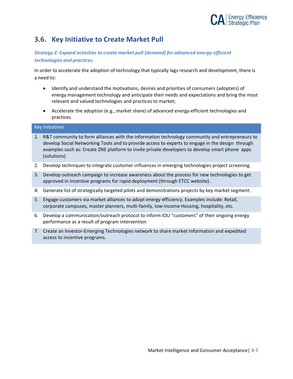

### <span id="page-30-0"></span>**3.6. Key Initiative to Create Market Pull**

#### *Strategy 2: Expand activities to create market pull (demand) for advanced energy-efficient technologies and practices.*

In order to accelerate the adoption of technology that typically lags research and development, there is a need to:

- Identify and understand the motivations, desires and priorities of consumers (adopters) of energy management technology and anticipate their needs and expectations and bring the most relevant and valued technologies and practices to market;
- Accelerate the adoption (e.g., market share) of advanced energy-efficient technologies and practices.

#### Key Initiatives

- 1. R&T community to form alliances with the information technology community and entrepreneurs to develop Social Networking Tools and to provide access to experts to engage in the design through examples such as: Create ZNE platform to invite private developers to develop smart phone apps (solutions)
- 2. Develop techniques to integrate customer influences in emerging technologies project screening.
- 3. Develop outreach campaign to increase awareness about the process for new technologies to get approved in incentive programs for rapid deployment (through ETCC website).
- 4. Generate list of strategically targeted pilots and demonstrations projects by key market segment.
- 5. Engage customers via market alliances to adopt energy efficiency. Examples include: Retail, corporate campuses, master planners, multi-family, low-income Housing, hospitality, etc.
- 6. Develop a communication/outreach protocol to inform IOU "customers" of their ongoing energy performance as a result of program intervention
- 7. Create an Investor-Emerging Technologies network to share market information and expedited access to incentive programs.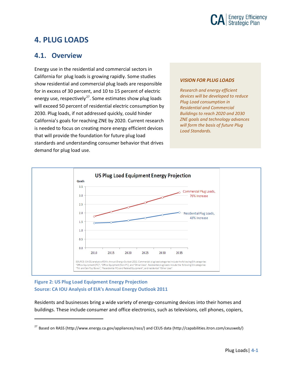

## <span id="page-31-0"></span>**4. PLUG LOADS**

### <span id="page-31-1"></span>**4.1. Overview**

Energy use in the residential and commercial sectors in California for plug loads is growing rapidly. Some studies show residential and commercial plug loads are responsible for in excess of 30 percent, and 10 to 15 percent of electric energy use, respectively<sup>[27](#page-31-2)</sup>. Some estimates show plug loads will exceed 50 percent of residential electric consumption by 2030. Plug loads, if not addressed quickly, could hinder California's goals for reaching ZNE by 2020. Current research is needed to focus on creating more energy efficient devices that will provide the foundation for future plug load standards and understanding consumer behavior that drives demand for plug load use.

#### *VISION FOR PLUG LOADS*

*Research and energy efficient devices will be developed to reduce Plug Load consumption in Residential and Commercial Buildings to reach 2020 and 2030 ZNE goals and technology advances will form the basis of future Plug Load Standards.*



#### **Figure 2: US Plug Load Equipment Energy Projection Source: CA IOU Analysis of EIA's Annual Energy Outlook 2011**

 $\overline{a}$ 

Residents and businesses bring a wide variety of energy-consuming devices into their homes and buildings. These include consumer and office electronics, such as televisions, cell phones, copiers,

<span id="page-31-2"></span><sup>27</sup> Based on RASS (http://www.energy.ca.gov/appliances/rass/) and CEUS data (http://capabilities.itron.com/ceusweb/)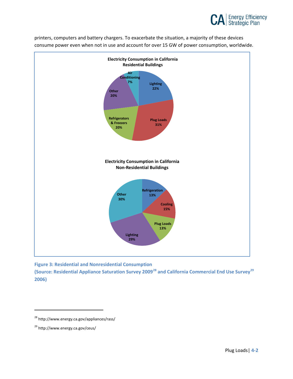

printers, computers and battery chargers. To exacerbate the situation, a majority of these devices consume power even when not in use and account for over 15 GW of power consumption, worldwide.



**Figure 3: Residential and Nonresidential Consumption** 

**(Source: Residential Appliance Saturation Survey 2009[28](#page-32-0) and California Commercial End Use Survey[29](#page-32-1) 2006)**

<span id="page-32-0"></span><sup>28</sup> http://www.energy.ca.gov/appliances/rass/

<span id="page-32-1"></span><sup>29</sup> http://www.energy.ca.gov/ceus/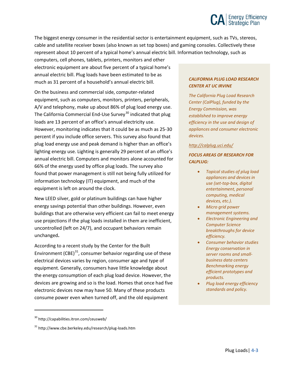# **CA** Energy Efficiency

The biggest energy consumer in the residential sector is entertainment equipment, such as TVs, stereos, cable and satellite receiver boxes (also known as set top boxes) and gaming consoles. Collectively these represent about 10 percent of a typical home's annual electric bill. Information technology, such as

computers, cell phones, tablets, printers, monitors and other electronic equipment are about five percent of a typical home's annual electric bill. Plug loads have been estimated to be as much as 31 percent of a household's annual electric bill.

On the business and commercial side, computer-related equipment, such as computers, monitors, printers, peripherals, A/V and telephony, make up about 86% of plug load energy use. The California Commercial End-Use Survey<sup>[30](#page-33-0)</sup> indicated that plug loads are 13 percent of an office's annual electricity use. However, monitoring indicates that it could be as much as 25-30 percent if you include office servers. This survey also found that plug load energy use and peak demand is higher than an office's lighting energy use. Lighting is generally 29 percent of an office's annual electric bill. Computers and monitors alone accounted for 66% of the energy used by office plug loads. The survey also found that power management is still not being fully utilized for information technology (IT) equipment, and much of the equipment is left on around the clock.

New LEED silver, gold or platinum buildings can have higher energy savings potential than other buildings. However, even buildings that are otherwise very efficient can fail to meet energy use projections if the plug loads installed in them are inefficient, uncontrolled (left on 24/7), and occupant behaviors remain unchanged**.**

According to a recent study by the Center for the Built Environment  $(CBE)^{31}$ , consumer behavior regarding use of these electrical devices varies by region, consumer age and type of equipment. Generally, consumers have little knowledge about the energy consumption of each plug load device. However, the devices are growing and so is the load. Homes that once had five electronic devices now may have 50. Many of these products consume power even when turned off, and the old equipment

#### <span id="page-33-0"></span><sup>30</sup> http://capabilities.itron.com/ceusweb/

 $\overline{a}$ 

#### *CALIFORNIA PLUG LOAD RESEARCH CENTER AT UC IRVINE*

*The California Plug Load Research Center (CalPlug), funded by the Energy Commission, was established to improve energy efficiency in the use and design of appliances and consumer electronic devices.* 

#### *<http://calplug.uci.edu/>*

#### *FOCUS AREAS OF RESEARCH FOR CALPLUG:*

- *Topical studies of plug load appliances and devices in use (set-top-box, digital entertainment, personal computing, medical devices, etc.).*
- *Micro grid power management systems.*
- *Electronic Engineering and Computer Science breakthroughs for device efficiency.*
- *Consumer behavior studies Energy conservation in server rooms and smallbusiness data centers Benchmarking energy efficient prototypes and products.*
- *Plug load energy efficiency standards and policy.*

<span id="page-33-1"></span><sup>&</sup>lt;sup>31</sup> http://www.cbe.berkeley.edu/research/plug-loads.htm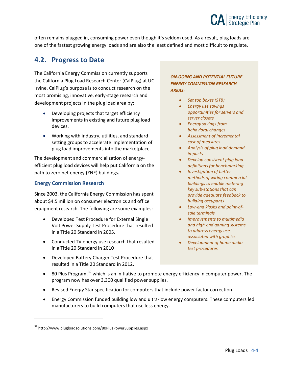

often remains plugged in, consuming power even though it's seldom used. As a result, plug loads are one of the fastest growing energy loads and are also the least defined and most difficult to regulate.

### <span id="page-34-0"></span>**4.2. Progress to Date**

The California Energy Commission currently supports the California Plug Load Research Center (CalPlug) at UC Irvine. CalPlug's purpose is to conduct research on the most promising, innovative, early-stage research and development projects in the plug load area by:

- Developing projects that target efficiency improvements in existing and future plug load devices.
- Working with industry, utilities, and standard setting groups to accelerate implementation of plug load improvements into the marketplace.

The development and commercialization of energyefficient plug load devices will help put California on the path to zero net energy (ZNE) buildings**.**

#### **Energy Commission Research**

Since 2003, the California Energy Commission has spent about \$4.5 million on consumer electronics and office equipment research. The following are some examples:

- Developed Test Procedure for External Single Volt Power Supply Test Procedure that resulted in a Title 20 Standard in 2005.
- Conducted TV energy use research that resulted in a Title 20 Standard in 2010
- Developed Battery Charger Test Procedure that resulted in a Title 20 Standard in 2012.

#### *ON-GOING AND POTENTIAL FUTURE ENERGY COMMISSION RESEARCH AREAS:*

- *Set top boxes (STB)*
- *Energy use savings opportunities for servers and server closets*
- *Energy savings from behavioral changes*
- *Assessment of Incremental cost of measures*
- *Analysis of plug load demand impacts*
- *Develop consistent plug load definitions for benchmarking*
- *Investigation of better methods of wiring commercial buildings to enable metering key sub-stations that can provide adequate feedback to building occupants*
- *Low-end kiosks and point-ofsale terminals*
- *Improvements to multimedia and high-end gaming systems to address energy use associated with graphics*
- *Development of home audio test procedures*
- $\bullet$  80 Plus Program,<sup>[32](#page-34-1)</sup> which is an initiative to promote energy efficiency in computer power. The program now has over 3,300 qualified power supplies.
- Revised Energy Star specification for computers that include power factor correction.
- Energy Commission funded building low and ultra-low energy computers. These computers led manufacturers to build computers that use less energy.

<span id="page-34-1"></span><sup>&</sup>lt;sup>32</sup> http://www.plugloadsolutions.com/80PlusPowerSupplies.aspx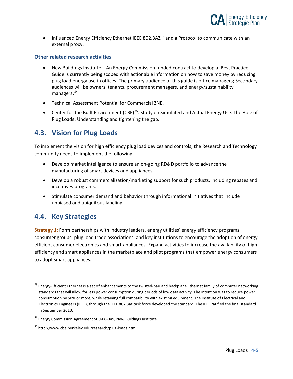

• Influenced Energy Efficiency Ethernet IEEE 802.3AZ  $33$  and a Protocol to communicate with an external proxy.

#### **Other related research activities**

- New Buildings Institute An Energy Commission funded contract to develop a Best Practice Guide is currently being scoped with actionable information on how to save money by reducing plug load energy use in offices. The primary audience of this guide is office managers; Secondary audiences will be owners, tenants, procurement managers, and energy/sustainability managers.<sup>[34](#page-35-3)</sup>
- Technical Assessment Potential for Commercial ZNE.
- Center for the Built Environment (CBE)<sup>[35](#page-35-4)</sup>: Study on Simulated and Actual Energy Use: The Role of Plug Loads: Understanding and tightening the gap.

### <span id="page-35-0"></span>**4.3. Vision for Plug Loads**

To implement the vision for high efficiency plug load devices and controls, the Research and Technology community needs to implement the following:

- Develop market intelligence to ensure an on-going RD&D portfolio to advance the manufacturing of smart devices and appliances.
- Develop a robust commercialization/marketing support for such products, including rebates and incentives programs.
- Stimulate consumer demand and behavior through informational initiatives that include unbiased and ubiquitous labeling.

### <span id="page-35-1"></span>**4.4. Key Strategies**

 $\overline{a}$ 

**Strategy 1:** Form partnerships with industry leaders, energy utilities' energy efficiency programs, consumer groups, plug load trade associations, and key institutions to encourage the adoption of energy efficient consumer electronics and smart appliances. Expand activities to increase the availability of high efficiency and smart appliances in the marketplace and pilot programs that empower energy consumers to adopt smart appliances.

<span id="page-35-2"></span> $33$  Energy-Efficient Ethernet is a set of enhancements to the twisted-pair and backplane Ethernet family of computer networking standards that will allow for less power consumption during periods of low data activity. The intention was to reduce power consumption by 50% or more, while retaining full compatibility with existing equipment. The Institute of Electrical and Electronics Engineers (IEEE), through the IEEE 802.3az task force developed the standard. The IEEE ratified the final standard in September 2010.

<span id="page-35-3"></span> $34$  Energy Commission Agreement 500-08-049, New Buildings Institute

<span id="page-35-4"></span><sup>35</sup> http://www.cbe.berkeley.edu/research/plug-loads.htm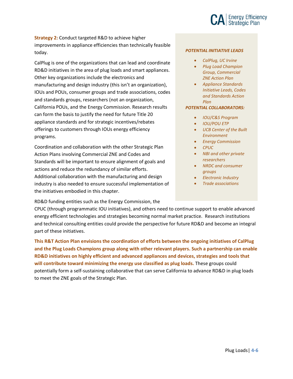

**Strategy 2:** Conduct targeted R&D to achieve higher improvements in appliance efficiencies than technically feasible today.

CalPlug is one of the organizations that can lead and coordinate RD&D initiatives in the area of plug loads and smart appliances. Other key organizations include the electronics and manufacturing and design industry (this isn't an organization), IOUs and POUs, consumer groups and trade associations, codes and standards groups, researchers (not an organization, California POUs, and the Energy Commission. Research results can form the basis to justify the need for future Title 20 appliance standards and for strategic incentives/rebates offerings to customers through IOUs energy efficiency programs.

Coordination and collaboration with the other Strategic Plan Action Plans involving Commercial ZNE and Codes and Standards will be important to ensure alignment of goals and actions and reduce the redundancy of similar efforts. Additional collaboration with the manufacturing and design industry is also needed to ensure successful implementation of the initiatives embodied in this chapter.

RD&D funding entities such as the Energy Commission, the

#### *POTENTIAL INITIATIVE LEADS*

- *CalPlug, UC Irvine*
- *Plug Load Champion Group, Commercial ZNE Action Plan*
- *Appliance Standards Initiative Leads, Codes and Standards Action Plan*

#### *POTENTIAL COLLABORATORS:*

- *IOU/C&S Program*
- *IOU/POU ETP*
- *UCB Center of the Built Environment*
- *Energy Commission*
- *CPUC*
- *NBI and other private researchers*
- *NRDC and consumer groups*
- *Electronic Industry*
- *Trade associations*

CPUC (through programmatic IOU initiatives), and others need to continue support to enable advanced energy efficient technologies and strategies becoming normal market practice. Research institutions and technical consulting entities could provide the perspective for future RD&D and become an integral part of these initiatives.

**This R&T Action Plan envisions the coordination of efforts between the ongoing initiatives of CalPlug and the Plug Loads Champions group along with other relevant players. Such a partnership can enable RD&D initiatives on highly efficient and advanced appliances and devices, strategies and tools that will contribute toward minimizing the energy use classified as plug loads.** These groups could potentially form a self-sustaining collaborative that can serve California to advance RD&D in plug loads to meet the ZNE goals of the Strategic Plan.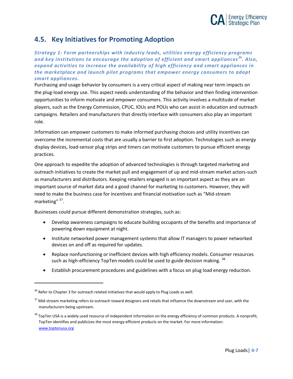

### <span id="page-37-0"></span>**4.5. Key Initiatives for Promoting Adoption**

*Strategy 1: Form partnerships with industry leads, utilities energy efficiency programs and key institutions to encourage the adoption of efficient and smart appliances [36](#page-37-1). Also, expand activities to increase the availability of high efficiency and smart appliances in the marketplace and launch pilot programs that empower energy consumers to adopt smart appliances.*

Purchasing and usage behavior by consumers is a very critical aspect of making near term impacts on the plug-load energy use. This aspect needs understanding of the behavior and then finding intervention opportunities to inform motivate and empower consumers. This activity involves a multitude of market players, such as the Energy Commission, CPUC, IOUs and POUs who can assist in education and outreach campaigns. Retailers and manufacturers that directly interface with consumers also play an important role.

Information can empower customers to make informed purchasing choices and utility incentives can overcome the incremental costs that are usually a barrier to first adoption. Technologies such as energy display devices, load-sensor plug strips and timers can motivate customers to pursue efficient energy practices.

One approach to expedite the adoption of advanced technologies is through targeted marketing and outreach initiatives to create the market pull and engagement of up and mid-stream market actors-such as manufacturers and distributors. Keeping retailers engaged is an important aspect as they are an important source of market data and a good channel for marketing to customers. However, they will need to make the business case for incentives and financial motivation such as "Mid-stream marketing" [37](#page-37-2).

Businesses could pursue different demonstration strategies, such as:

- Develop awareness campaigns to educate building occupants of the benefits and importance of powering down equipment at night.
- Institute networked power management systems that allow IT managers to power networked devices on and off as required for updates.
- Replace nonfunctioning or inefficient devices with high efficiency models. Consumer resources such as high-efficiency TopTen models could be used to guide decision making. <sup>[38](#page-37-3)</sup>
- Establish procurement procedures and guidelines with a focus on plug load energy reduction.

<span id="page-37-1"></span> $36$  Refer to Chapter 3 for outreach related initiatives that would apply to Plug Loads as well.

<span id="page-37-2"></span> $37$  Mid-stream marketing refers to outreach toward designers and retails that influence the downstream end user, with the manufacturers being upstream.

<span id="page-37-3"></span><sup>&</sup>lt;sup>38</sup> TopTen USA is a widely used resource of independent information on the energy efficiency of common products. A nonprofit, TopTen identifies and publicizes the most energy-efficient products on the market. For more information: [www.toptenusa.org](http://www.toptenusa.org/)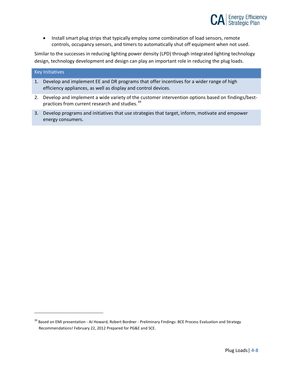

• Install smart plug strips that typically employ some combination of load sensors, remote controls, occupancy sensors, and timers to automatically shut off equipment when not used.

Similar to the successes in reducing lighting power density (LPD) through integrated lighting technology design, technology development and design can play an important role in reducing the plug loads.

#### Key Initiatives

- 1. Develop and implement EE and DR programs that offer incentives for a wider range of high efficiency appliances, as well as display and control devices.
- 2. Develop and implement a wide variety of the customer intervention options based on findings/best-practices from current research and studies.<sup>[39](#page-38-0)</sup>
- 3. Develop programs and initiatives that use strategies that target, inform, motivate and empower energy consumers.

<span id="page-38-0"></span><sup>&</sup>lt;sup>39</sup> Based on EMI presentation - AJ Howard, Robert Bordner - Preliminary Findings: BCE Process Evaluation and Strategy Recommendations! February 22, 2012 Prepared for PG&E and SCE.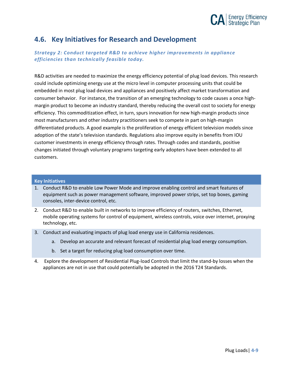

### <span id="page-39-0"></span>**4.6. Key Initiatives for Research and Development**

*Strategy 2: Conduct targeted R&D to achieve higher improvements in appliance efficiencies than technically feasible today.* 

R&D activities are needed to maximize the energy efficiency potential of plug load devices. This research could include optimizing energy use at the micro level in computer processing units that could be embedded in most plug load devices and appliances and positively affect market transformation and consumer behavior. For instance, the transition of an emerging technology to code causes a once highmargin product to become an industry standard, thereby reducing the overall cost to society for energy efficiency. This commoditization effect, in turn, spurs innovation for new high-margin products since most manufacturers and other industry practitioners seek to compete in part on high-margin differentiated products. A good example is the proliferation of energy efficient television models since adoption of the state's television standards. Regulations also improve equity in benefits from IOU customer investments in energy efficiency through rates. Through codes and standards, positive changes initiated through voluntary programs targeting early adopters have been extended to all customers.

#### **Key Initiatives**

- 1. Conduct R&D to enable Low Power Mode and improve enabling control and smart features of equipment such as power management software, improved power strips, set top boxes, gaming consoles, inter-device control, etc.
- 2. Conduct R&D to enable built in networks to improve efficiency of routers, switches, Ethernet, mobile operating systems for control of equipment, wireless controls, voice over internet, proxying technology, etc.
- 3. Conduct and evaluating impacts of plug load energy use in California residences.
	- a. Develop an accurate and relevant forecast of residential plug load energy consumption.
	- b. Set a target for reducing plug load consumption over time.
- 4. Explore the development of Residential Plug-load Controls that limit the stand-by losses when the appliances are not in use that could potentially be adopted in the 2016 T24 Standards.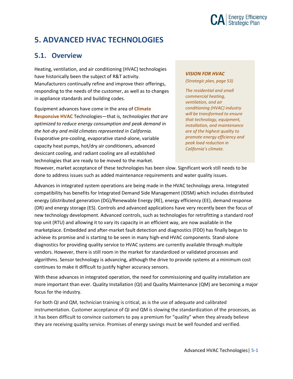

# <span id="page-40-0"></span>**5. ADVANCED HVAC TECHNOLOGIES**

### <span id="page-40-1"></span>**5.1. Overview**

Heating, ventilation, and air conditioning (HVAC) technologies have historically been the subject of R&T activity. Manufacturers continually refine and improve their offerings, responding to the needs of the customer, as well as to changes in appliance standards and building codes.

Equipment advances have come in the area of **Climate Responsive HVAC** Technologies—that is, *technologies that are optimized to reduce energy consumption and peak demand in the hot-dry and mild climates represented in California.* Evaporative pre-cooling, evaporative stand-alone, variable capacity heat pumps, hot/dry air conditioners, advanced desiccant cooling, and radiant cooling are all established technologies that are ready to be moved to the market.

#### *VISION FOR HVAC*

*(Strategic plan, page 53)*

*The residential and small commercial heating, ventilation, and air conditioning (HVAC) industry will be transformed to ensure that technology, equipment, installation, and maintenance are of the highest quality to promote energy efficiency and peak load reduction in California's climate.*

However, market acceptance of these technologies has been slow. Significant work still needs to be done to address issues such as added maintenance requirements and water quality issues.

Advances in integrated system operations are being made in the HVAC technology arena. Integrated compatibility has benefits for Integrated Demand Side Management (IDSM) which includes distributed energy (distributed generation (DG)/Renewable Energy (RE), energy efficiency (EE), demand response (DR) and energy storage (ES). Controls and advanced applications have very recently been the focus of new technology development. Advanced controls, such as technologies for retrofitting a standard roof top unit (RTU) and allowing it to vary its capacity in an efficient way, are now available in the marketplace. Embedded and after-market fault detection and diagnostics (FDD) has finally begun to achieve its promise and is starting to be seen in many high-end HVAC components. Stand-alone diagnostics for providing quality service to HVAC systems are currently available through multiple vendors. However, there is still room in the market for standardized or validated processes and algorithms. Sensor technology is advancing, although the drive to provide systems at a minimum cost continues to make it difficult to justify higher accuracy sensors.

With these advances in integrated operation, the need for commissioning and quality installation are more important than ever. Quality Installation (QI) and Quality Maintenance (QM) are becoming a major focus for the industry.

For both QI and QM, technician training is critical, as is the use of adequate and calibrated instrumentation. Customer acceptance of QI and QM is slowing the standardization of the processes, as it has been difficult to convince customers to pay a premium for "quality" when they already believe they are receiving quality service. Promises of energy savings must be well founded and verified.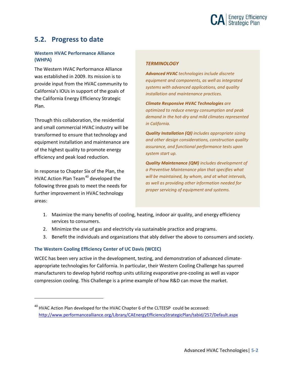

### <span id="page-41-0"></span>**5.2. Progress to date**

#### **Western HVAC Performance Alliance (WHPA)**

The Western HVAC Performance Alliance was established in 2009. Its mission is to provide input from the HVAC community to California's IOUs in support of the [goals o](http://www.performancealliance.org/LinkClick.aspx?link=199&tabid=105)f the California Energy Efficiency Strategic Plan.

Through this collaboration, the residential and small commercial HVAC industry will be transformed to ensure that technology and equipment installation and maintenance are of the highest quality to promote energy efficiency and peak load reduction.

In response to Chapter Six of the Plan, the HVAC Action Plan Team<sup>[40](#page-41-1)</sup> developed the following three goals to meet the needs for further improvement in HVAC technology areas:

 $\overline{a}$ 

#### *TERMINOLOGY*

*Advanced HVAC technologies include discrete equipment and components, as well as integrated systems with advanced applications, and quality installation and maintenance practices.*

*Climate Responsive HVAC Technologies are optimized to reduce energy consumption and peak demand in the hot-dry and mild climates represented in California.*

*Quality Installation (QI) includes appropriate sizing and other design considerations, construction quality assurance, and functional performance tests upon system start up.* 

*Quality Maintenance (QM) includes development of a Preventive Maintenance plan that specifies what will be maintained, by whom, and at what intervals, as well as providing other information needed for proper servicing of equipment and systems.*

- 1. Maximize the many benefits of cooling, heating, indoor air quality, and energy efficiency services to consumers.
- 2. Minimize the use of gas and electricity via sustainable practice and programs.
- 3. Benefit the individuals and organizations that ably deliver the above to consumers and society.

#### **The Western Cooling Efficiency Center of UC Davis (WCEC)**

WCEC has been very active in the development, testing, and demonstration of advanced climateappropriate technologies for California. In particular, their Western Cooling Challenge has spurred manufacturers to develop hybrid rooftop units utilizing evaporative pre-cooling as well as vapor compression cooling. This Challenge is a prime example of how R&D can move the market.

<span id="page-41-1"></span> $40$  HVAC Action Plan developed for the HVAC Chapter 6 of the CLTEESP could be accessed: <http://www.performancealliance.org/Library/CAEnergyEfficiencyStrategicPlan/tabid/257/Default.aspx>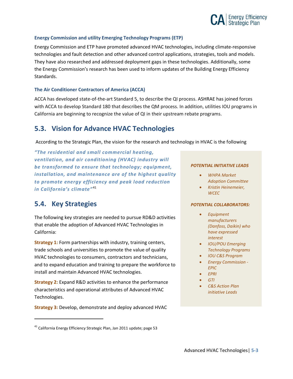

#### **Energy Commission and utility Emerging Technology Programs (ETP)**

Energy Commission and ETP have promoted advanced HVAC technologies, including climate-responsive technologies and fault detection and other advanced control applications, strategies, tools and models. They have also researched and addressed deployment gaps in these technologies. Additionally, some the Energy Commission's research has been used to inform updates of the Building Energy Efficiency Standards.

#### **The Air Conditioner Contractors of America (ACCA)**

ACCA has developed state-of-the-art Standard 5, to describe the QI process. ASHRAE has joined forces with ACCA to develop Standard 180 that describes the QM process. In addition, utilities IOU programs in California are beginning to recognize the value of QI in their upstream rebate programs.

### <span id="page-42-0"></span>**5.3. Vision for Advance HVAC Technologies**

According to the Strategic Plan, the vision for the research and technology in HVAC is the following

*"The residential and small commercial heating, ventilation, and air conditioning (HVAC) industry will be transformed to ensure that technology; equipment, installation, and maintenance are of the highest quality to promote energy efficiency and peak load reduction in California's climate*<sup>"[41](#page-42-2)</sup>

### <span id="page-42-1"></span>**5.4. Key Strategies**

 $\overline{a}$ 

The following key strategies are needed to pursue RD&D activities that enable the adoption of Advanced HVAC Technologies in California:

**Strategy 1:** Form partnerships with industry, training centers, trade schools and universities to promote the value of quality HVAC technologies to consumers, contractors and technicians, and to expand education and training to prepare the workforce to install and maintain Advanced HVAC technologies.

**Strategy 2:** Expand R&D activities to enhance the performance characteristics and operational attributes of Advanced HVAC Technologies.

**Strategy 3:** Develop, demonstrate and deploy advanced HVAC

#### *POTENTIAL INITIATIVE LEADS*

- *WHPA Market Adoption Committee*
- *Kristin Heinemeier, WCEC*

#### *POTENTIAL COLLABORATORS:*

- *Equipment manufacturers (Danfoss, Daikin) who have expressed interest*
- *IOU/POU Emerging Technology Programs*
- *IOU C&S Program*
- *Energy Commission - EPIC*
- *EPRI*
- *GTI*
- *C&S Action Plan initiative Leads*

<span id="page-42-2"></span> $41$  California Energy Efficiency Strategic Plan, Jan 2011 update; page 53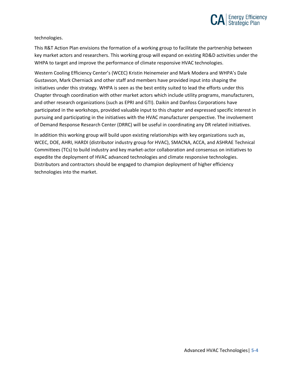

#### technologies.

This R&T Action Plan envisions the formation of a working group to facilitate the partnership between key market actors and researchers. This working group will expand on existing RD&D activities under the WHPA to target and improve the performance of climate responsive HVAC technologies.

Western Cooling Efficiency Center's (WCEC) Kristin Heinemeier and Mark Modera and WHPA's Dale Gustavson, Mark Cherniack and other staff and members have provided input into shaping the initiatives under this strategy. WHPA is seen as the best entity suited to lead the efforts under this Chapter through coordination with other market actors which include utility programs, manufacturers, and other research organizations (such as EPRI and GTI). Daikin and Danfoss Corporations have participated in the workshops, provided valuable input to this chapter and expressed specific interest in pursuing and participating in the initiatives with the HVAC manufacturer perspective. The involvement of Demand Response Research Center (DRRC) will be useful in coordinating any DR related initiatives.

In addition this working group will build upon existing relationships with key organizations such as, WCEC, DOE, AHRI, HARDI (distributor industry group for HVAC), SMACNA, ACCA, and ASHRAE Technical Committees (TCs) to build industry and key market-actor collaboration and consensus on initiatives to expedite the deployment of HVAC advanced technologies and climate responsive technologies. Distributors and contractors should be engaged to champion deployment of higher efficiency technologies into the market.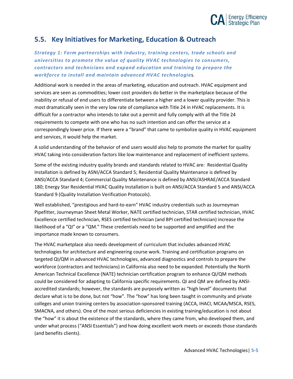

### <span id="page-44-0"></span>**5.5. Key Initiatives for Marketing, Education & Outreach**

*Strategy 1: Form partnerships with industry, training centers, trade schools and universities to promote the value of quality HVAC technologies to consumers, contractors and technicians and expand education and training to prepare the workforce to install and maintain advanced HVAC technologie*s*.*

Additional work is needed in the areas of marketing, education and outreach. HVAC equipment and services are seen as commodities; lower cost providers do better in the marketplace because of the inability or refusal of end users to differentiate between a higher and a lower quality provider. This is most dramatically seen in the very low rate of compliance with Title 24 in HVAC replacements. It is difficult for a contractor who intends to take out a permit and fully comply with all the Title 24 requirements to compete with one who has no such intention and can offer the service at a correspondingly lower price. If there were a "brand" that came to symbolize quality in HVAC equipment and services, it would help the market.

A solid understanding of the behavior of end users would also help to promote the market for quality HVAC taking into consideration factors like low maintenance and replacement of inefficient systems.

Some of the existing industry quality brands and standards related to HVAC are: Residential Quality Installation is defined by ASNI/ACCA Standard 5; Residential Quality Maintenance is defined by ANSI/ACCA Standard 4; Commercial Quality Maintenance is defined by ANSI/ASHRAE/ACCA Standard 180; Energy Star Residential HVAC Quality Installation is built on ANSI/ACCA Standard 5 and ANSI/ACCA Standard 9 (Quality Installation Verification Protocols).

Well established, "prestigious and hard-to-earn" HVAC industry credentials such as Journeyman Pipefitter, Journeyman Sheet Metal Worker, NATE certified technician, STAR certified technician, HVAC Excellence certified technician, RSES certified technician (and BPI certified technician) increase the likelihood of a "QI" or a "QM." These credentials need to be supported and amplified and the importance made known to consumers.

The HVAC marketplace also needs development of curriculum that includes advanced HVAC technologies for architecture and engineering course work. Training and certification programs on targeted QI/QM in advanced HVAC technologies, advanced diagnostics and controls to prepare the workforce (contractors and technicians) in California also need to be expanded. Potentially the North American Technical Excellence (NATE) technician certification program to enhance QI/QM methods could be considered for adapting to California specific requirements. QI and QM are defined by ANSIaccredited standards; however, the standards are purposely written as "high level" documents that declare what is to be done, but not "how". The "how" has long been taught in community and private colleges and union training centers by association-sponsored training (ACCA, IHACI, MCAA/MSCA, RSES, SMACNA, and others). One of the most serious deficiencies in existing training/education is not about the "how" it is about the existence of the standards, where they came from, who developed them, and under what process ("ANSI Essentials") and how doing excellent work meets or exceeds those standards (and benefits clients).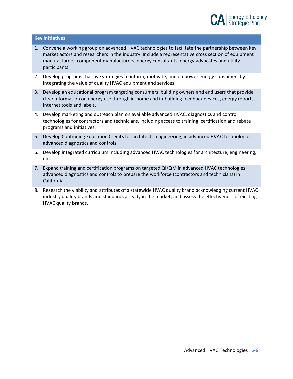#### **Key Initiatives**

- 1. Convene a working group on advanced HVAC technologies to facilitate the partnership between key market actors and researchers in the industry. Include a representative cross section of equipment manufacturers, component manufacturers, energy consultants, energy advocates and utility participants.
- 2. Develop programs that use strategies to inform, motivate, and empower energy consumers by integrating the value of quality HVAC equipment and services.
- 3. Develop an educational program targeting consumers, building owners and end users that provide clear information on energy use through in-home and in-building feedback devices, energy reports, internet tools and labels.
- 4. Develop marketing and outreach plan on available advanced HVAC, diagnostics and control technologies for contractors and technicians, including access to training, certification and rebate programs and initiatives.
- 5. Develop Continuing Education Credits for architects, engineering, in advanced HVAC technologies, advanced diagnostics and controls.
- 6. Develop integrated curriculum including advanced HVAC technologies for architecture, engineering, etc.
- 7. Expand training and certification programs on targeted QI/QM in advanced HVAC technologies, advanced diagnostics and controls to prepare the workforce (contractors and technicians) in California.
- 8. Research the viability and attributes of a statewide HVAC quality brand acknowledging current HVAC industry quality brands and standards already in the market, and assess the effectiveness of existing HVAC quality brands.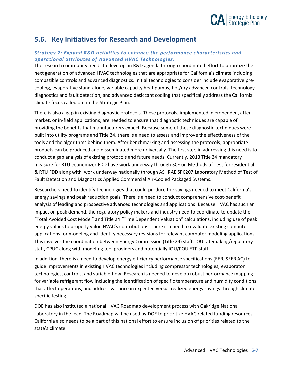

### <span id="page-46-0"></span>**5.6. Key Initiatives for Research and Development**

#### *Strategy 2: Expand R&D activities to enhance the performance characteristics and operational attributes of Advanced HVAC Technologies.*

The research community needs to develop an R&D agenda through coordinated effort to prioritize the next generation of advanced HVAC technologies that are appropriate for California's climate including compatible controls and advanced diagnostics. Initial technologies to consider include evaporative precooling, evaporative stand-alone, variable capacity heat pumps, hot/dry advanced controls, technology diagnostics and fault detection, and advanced desiccant cooling that specifically address the California climate focus called out in the Strategic Plan.

There is also a gap in existing diagnostic protocols. These protocols, implemented in embedded, aftermarket, or in-field applications, are needed to ensure that diagnostic techniques are capable of providing the benefits that manufacturers expect. Because some of these diagnostic techniques were built into utility programs and Title 24, there is a need to assess and improve the effectiveness of the tools and the algorithms behind them. After benchmarking and assessing the protocols, appropriate products can be produced and disseminated more universally. The first step in addressing this need is to conduct a gap analysis of existing protocols and future needs. Currently, 2013 Title 24 mandatory measure for RTU economizer FDD have work underway through SCE on Methods of Test for residential & RTU FDD along with work underway nationally through ASHRAE SPC207 Laboratory Method of Test of Fault Detection and Diagnostics Applied Commercial Air-Cooled Packaged Systems.

Researchers need to identify technologies that could produce the savings needed to meet California's energy savings and peak reduction goals. There is a need to conduct comprehensive cost-benefit analysis of leading and prospective advanced technologies and applications. Because HVAC has such an impact on peak demand, the regulatory policy makers and industry need to coordinate to update the "Total Avoided Cost Model" and Title 24 "Time Dependent Valuation" calculations, including use of peak energy values to properly value HVAC's contributions. There is a need to evaluate existing computer applications for modeling and identify necessary revisions for relevant computer modeling applications. This involves the coordination between Energy Commission (Title 24) staff, IOU ratemaking/regulatory staff, CPUC along with modeling tool providers and potentially IOU/POU ETP staff.

In addition, there is a need to develop energy efficiency performance specifications (EER, SEER AC) to guide improvements in existing HVAC technologies including compressor technologies, evaporator technologies, controls, and variable-flow. Research is needed to develop robust performance mapping for variable refrigerant flow including the identification of specific temperature and humidity conditions that affect operations; and address variance in expected versus realized energy savings through climatespecific testing.

DOE has also instituted a national HVAC Roadmap development process with Oakridge National Laboratory in the lead. The Roadmap will be used by DOE to prioritize HVAC related funding resources. California also needs to be a part of this national effort to ensure inclusion of priorities related to the state's climate.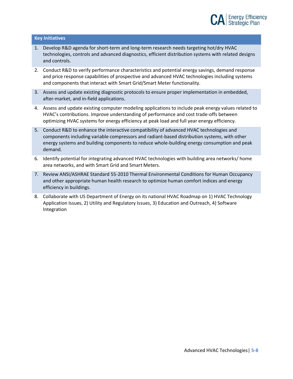

#### **Key Initiatives**

- 1. Develop R&D agenda for short-term and long-term research needs targeting hot/dry HVAC technologies, controls and advanced diagnostics, efficient distribution systems with related designs and controls.
- 2. Conduct R&D to verify performance characteristics and potential energy savings, demand response and price response capabilities of prospective and advanced HVAC technologies including systems and components that interact with Smart Grid/Smart Meter functionality.
- 3. Assess and update existing diagnostic protocols to ensure proper implementation in embedded, after-market, and in-field applications.
- 4. Assess and update existing computer modeling applications to include peak energy values related to HVAC's contributions. Improve understanding of performance and cost trade-offs between optimizing HVAC systems for energy efficiency at peak load and full year energy efficiency.
- 5. Conduct R&D to enhance the interactive compatibility of advanced HVAC technologies and components including variable compressors and radiant-based distribution systems, with other energy systems and building components to reduce whole-building energy consumption and peak demand.
- 6. Identify potential for integrating advanced HVAC technologies with building area networks/ home area networks, and with Smart Grid and Smart Meters.
- 7. Review ANSI/ASHRAE Standard 55-2010 Thermal Environmental Conditions for Human Occupancy and other appropriate human health research to optimize human comfort indices and energy efficiency in buildings.
- 8. Collaborate with US Department of Energy on its national HVAC Roadmap on 1) HVAC Technology Application Issues, 2) Utility and Regulatory Issues, 3) Education and Outreach, 4) Software Integration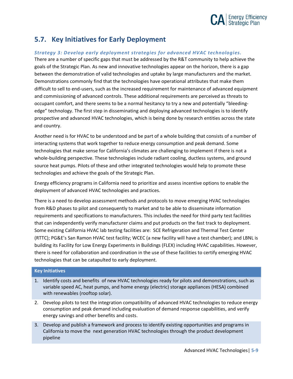

### <span id="page-48-0"></span>**5.7. Key Initiatives for Early Deployment**

#### *Strategy 3: Develop early deployment strategies for advanced HVAC technologies.*

There are a number of specific gaps that must be addressed by the R&T community to help achieve the goals of the Strategic Plan. As new and innovative technologies appear on the horizon, there is a gap between the demonstration of valid technologies and uptake by large manufacturers and the market. Demonstrations commonly find that the technologies have operational attributes that make them difficult to sell to end-users, such as the increased requirement for maintenance of advanced equipment and commissioning of advanced controls. These additional requirements are perceived as threats to occupant comfort, and there seems to be a normal hesitancy to try a new and potentially "bleedingedge" technology. The first step in disseminating and deploying advanced technologies is to identify prospective and advanced HVAC technologies, which is being done by research entities across the state and country.

Another need is for HVAC to be understood and be part of a whole building that consists of a number of interacting systems that work together to reduce energy consumption and peak demand. Some technologies that make sense for California's climates are challenging to implement if there is not a whole-building perspective. These technologies include radiant cooling, ductless systems, and ground source heat pumps. Pilots of these and other integrated technologies would help to promote these technologies and achieve the goals of the Strategic Plan.

Energy efficiency programs in California need to prioritize and assess incentive options to enable the deployment of advanced HVAC technologies and practices.

There is a need to develop assessment methods and protocols to move emerging HVAC technologies from R&D phases to pilot and consequently to market and to be able to disseminate information requirements and specifications to manufacturers. This includes the need for third party test facilities that can independently verify manufacturer claims and put products on the fast track to deployment. Some existing California HVAC lab testing facilities are: SCE Refrigeration and Thermal Test Center (RTTC); PG&E's San Ramon HVAC test facility; WCEC (a new facility will have a test chamber); and LBNL is building its [Facility for Low Energy Experiments in Buildings \(FLEX\)](http://utbf.lbl.gov/) including HVAC capabilities. However, there is need for collaboration and coordination in the use of these facilities to certify emerging HVAC technologies that can be catapulted to early deployment.

#### **Key Initiatives**

- 1. Identify costs and benefits of new HVAC technologies ready for pilots and demonstrations, such as variable speed AC, heat pumps, and home energy (electric) storage appliances (HESA) combined with renewables (rooftop solar).
- 2. Develop pilots to test the integration compatibility of advanced HVAC technologies to reduce energy consumption and peak demand including evaluation of demand response capabilities, and verify energy savings and other benefits and costs.
- 3. Develop and publish a framework and process to identify existing opportunities and programs in California to move the next generation HVAC technologies through the product development pipeline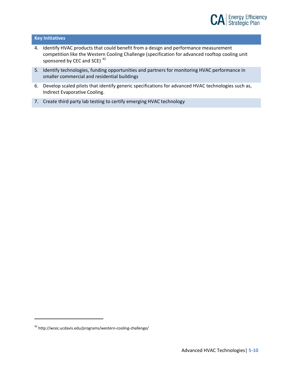

#### **Key Initiatives**

- 4. Identify HVAC products that could benefit from a design and performance measurement competition like the Western Cooling Challenge (specification for advanced rooftop cooling unit sponsored by CEC and SCE)<sup>[42](#page-49-0)</sup>
- 5. Identify technologies, funding opportunities and partners for monitoring HVAC performance in smaller commercial and residential buildings
- 6. Develop scaled pilots that identify generic specifications for advanced HVAC technologies such as, Indirect Evaporative Cooling.
- 7. Create third party lab testing to certify emerging HVAC technology

<span id="page-49-0"></span><sup>42</sup> http://wcec.ucdavis.edu/programs/western-cooling-challenge/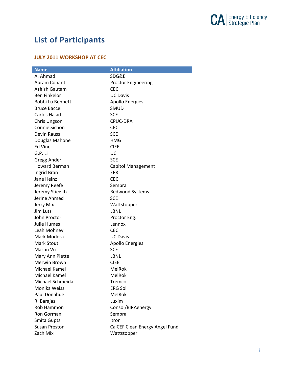

# <span id="page-50-0"></span>**List of Participants**

#### **JULY 2011 WORKSHOP AT CEC**

| <b>Name</b>          | <b>Affiliation</b>             |
|----------------------|--------------------------------|
| A. Ahmad             | SDG&E                          |
| Abram Conant         | <b>Proctor Engineering</b>     |
| Ashish Gautam        | <b>CEC</b>                     |
| <b>Ben Finkelor</b>  | <b>UC Davis</b>                |
| Bobbi Lu Bennett     | <b>Apollo Energies</b>         |
| <b>Bruce Baccei</b>  | <b>SMUD</b>                    |
| <b>Carlos Haiad</b>  | <b>SCE</b>                     |
| Chris Ungson         | CPUC-DRA                       |
| Connie Sichon        | <b>CEC</b>                     |
| Devin Rauss          | <b>SCE</b>                     |
| Douglas Mahone       | HMG                            |
| Ed Vine              | <b>CIEE</b>                    |
| G.P. Li              | UCI                            |
| Gregg Ander          | <b>SCE</b>                     |
| <b>Howard Berman</b> | <b>Capitol Management</b>      |
| Ingrid Bran          | <b>EPRI</b>                    |
| Jane Heinz           | <b>CEC</b>                     |
| Jeremy Reefe         | Sempra                         |
| Jeremy Stieglitz     | Redwood Systems                |
| Jerine Ahmed         | <b>SCE</b>                     |
| Jerry Mix            | Wattstopper                    |
| Jim Lutz             | LBNL                           |
| John Proctor         | Proctor Eng.                   |
| <b>Julie Humes</b>   | Lennox                         |
| Leah Mohney          | <b>CEC</b>                     |
| Mark Modera          | <b>UC Davis</b>                |
| <b>Mark Stout</b>    | Apollo Energies                |
| Martin Vu            | <b>SCE</b>                     |
| Mary Ann Piette      | LBNL                           |
| Merwin Brown         | <b>CIEE</b>                    |
| Michael Kamel        | <b>MelRok</b>                  |
| Michael Kamel        | MelRok                         |
| Michael Schmeida     | Tremco                         |
| Monika Weiss         | <b>ERG Sol</b>                 |
| Paul Donahue         | MelRok                         |
| R. Barajas           | Luxim                          |
| Rob Hammon           | Consol/BIRAenergy              |
| Ron Gorman           | Sempra                         |
| Smita Gupta          | Itron                          |
| <b>Susan Preston</b> | CalCEF Clean Energy Angel Fund |
| Zach Mix             | Wattstopper                    |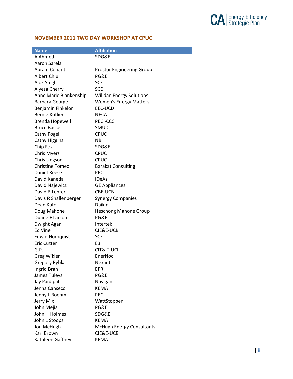

#### **NOVEMBER 2011 TWO DAY WORKSHOP AT CPUC**

| <b>Name</b>            | <b>Affiliation</b>               |
|------------------------|----------------------------------|
| A Ahmed                | SDG&E                            |
| Aaron Sarela           |                                  |
| Abram Conant           | <b>Proctor Engineering Group</b> |
| Albert Chiu            | PG&F                             |
| Alok Singh             | <b>SCE</b>                       |
| Alyesa Cherry          | <b>SCE</b>                       |
| Anne Marie Blankenship | <b>Willdan Energy Solutions</b>  |
| Barbara George         | <b>Women's Energy Matters</b>    |
| Benjamin Finkelor      | EEC-UCD                          |
| Bernie Kotlier         | <b>NECA</b>                      |
| <b>Brenda Hopewell</b> | PECI-CCC                         |
| <b>Bruce Baccei</b>    | SMUD                             |
| Cathy Fogel            | <b>CPUC</b>                      |
| <b>Cathy Higgins</b>   | <b>NBI</b>                       |
| Chip Fox               | SDG&E                            |
| <b>Chris Myers</b>     | <b>CPUC</b>                      |
| Chris Ungson           | <b>CPUC</b>                      |
| <b>Christine Tomeo</b> | <b>Barakat Consulting</b>        |
| <b>Daniel Reese</b>    | <b>PECI</b>                      |
| David Kaneda           | <b>IDeAs</b>                     |
| David Najewicz         | <b>GE Appliances</b>             |
| David R Lehrer         | <b>CBE-UCB</b>                   |
| Davis R Shallenberger  | <b>Synergy Companies</b>         |
| Dean Kato              | Daikin                           |
| Doug Mahone            | <b>Heschong Mahone Group</b>     |
| Duane F Larson         | PG&E                             |
| Dwight Agan            | Intertek                         |
| <b>Ed Vine</b>         | CIE&E-UCB                        |
| <b>Edwin Hornquist</b> | <b>SCE</b>                       |
| <b>Eric Cutter</b>     | E3                               |
| G.P. Li                | CIT&IT-UCI                       |
| Greg Wikler            | EnerNoc                          |
| Gregory Rybka          | Nexant                           |
| Ingrid Bran            | <b>EPRI</b>                      |
| James Tuleya           | PG&E                             |
| Jay Paidipati          | Navigant                         |
| Jenna Canseco          | <b>KEMA</b>                      |
| Jenny L Roehm          | <b>PECI</b>                      |
| Jerry Mix              | WattStopper                      |
| John Mejia             | PG&E                             |
| John H Holmes          | SDG&E                            |
| John L Stoops          | <b>KEMA</b>                      |
| Jon McHugh             | <b>McHugh Energy Consultants</b> |
| Karl Brown             | CIE&E-UCB                        |
| Kathleen Gaffney       | <b>KEMA</b>                      |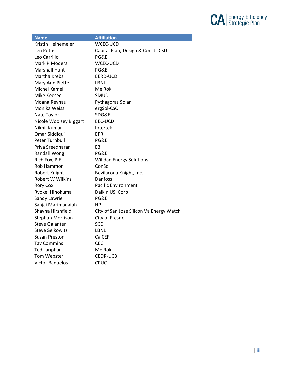

| <b>Name</b>             | <b>Affiliation</b>                       |
|-------------------------|------------------------------------------|
| Kristin Heinemeier      | <b>WCEC-UCD</b>                          |
| Len Pettis              | Capital Plan, Design & Constr-CSU        |
| Leo Carrillo            | PG&E                                     |
| Mark P Modera           | WCEC-UCD                                 |
| <b>Marshall Hunt</b>    | PG&E                                     |
| Martha Krebs            | EERD-UCD                                 |
| Mary Ann Piette         | LBNL                                     |
| Michel Kamel            | MelRok                                   |
| Mike Keesee             | <b>SMUD</b>                              |
| Moana Reynau            | Pythagoras Solar                         |
| Monika Weiss            | ergSol-CSO                               |
| Nate Taylor             | SDG&E                                    |
| Nicole Woolsey Biggart  | EEC-UCD                                  |
| Nikhil Kumar            | Intertek                                 |
| Omar Siddiqui           | EPRI                                     |
| Peter Turnbull          | PG&E                                     |
| Priya Sreedharan        | E <sub>3</sub>                           |
| <b>Randall Wong</b>     | PG&E                                     |
| Rich Fox, P.E.          | <b>Willdan Energy Solutions</b>          |
| Rob Hammon              | ConSol                                   |
| Robert Knight           | Bevilacoua Knight, Inc.                  |
| Robert W Wilkins        | Danfoss                                  |
| <b>Rory Cox</b>         | <b>Pacific Environment</b>               |
| Ryokei Hinokuma         | Daikin US, Corp                          |
| Sandy Lawrie            | PG&E                                     |
| Sanjai Marimadaiah      | HP                                       |
| Shayna Hirshfield       | City of San Jose Silicon Va Energy Watch |
| <b>Stephan Morrison</b> | City of Fresno                           |
| <b>Steve Galanter</b>   | <b>SCE</b>                               |
| <b>Steve Selkowitz</b>  | LBNL                                     |
| Susan Preston           | CalCEF                                   |
| Tav Commins             | <b>CEC</b>                               |
| <b>Ted Lanphar</b>      | MelRok                                   |
| Tom Webster             | <b>CEDR-UCB</b>                          |
| <b>Victor Banuelos</b>  | <b>CPUC</b>                              |